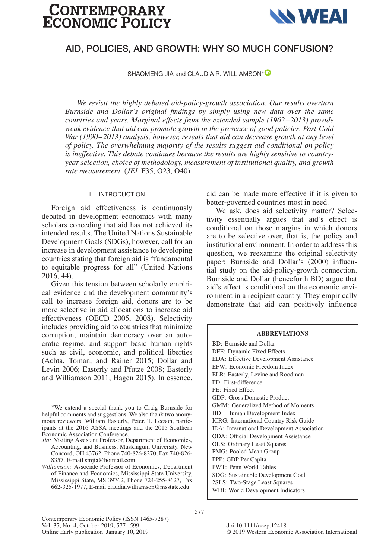# **CONTEMPORARY<br>ECONOMIC POLICY**



# **AID, POLICIES, AND GROWTH: WHY SO MUCH CONFUSION?**

SHAOMENG JIA and CLAUDIA R. WILLIAMSON<sup>[∗](https://orcid.org/0000-0002-4443-7453)</sup>

*We revisit the highly debated aid-policy-growth association. Our results overturn Burnside and Dollar's original findings by simply using new data over the same countries and years. Marginal effects from the extended sample (1962–2013) provide weak evidence that aid can promote growth in the presence of good policies. Post-Cold War (1990–2013) analysis, however, reveals that aid can decrease growth at any level of policy. The overwhelming majority of the results suggest aid conditional on policy is ineffective. This debate continues because the results are highly sensitive to countryyear selection, choice of methodology, measurement of institutional quality, and growth rate measurement.* (*JEL* F35, O23, O40)

## I. INTRODUCTION

Foreign aid effectiveness is continuously debated in development economics with many scholars conceding that aid has not achieved its intended results. The United Nations Sustainable Development Goals (SDGs), however, call for an increase in development assistance to developing countries stating that foreign aid is "fundamental to equitable progress for all" (United Nations 2016, 44).

Given this tension between scholarly empirical evidence and the development community's call to increase foreign aid, donors are to be more selective in aid allocations to increase aid effectiveness (OECD 2005, 2008). Selectivity includes providing aid to countries that minimize corruption, maintain democracy over an autocratic regime, and support basic human rights such as civil, economic, and political liberties (Achta, Toman, and Rainer 2015; Dollar and Levin 2006; Easterly and Pfutze 2008; Easterly and Williamson 2011; Hagen 2015). In essence,

<sup>∗</sup>We extend a special thank you to Craig Burnside for helpful comments and suggestions. We also thank two anonymous reviewers, William Easterly, Peter. T. Leeson, participants at the 2016 ASSA meetings and the 2015 Southern Economic Association Conference.

- *Jia:* Visiting Assistant Professor, Department of Economics, Accounting, and Business, Muskingum University, New Concord, OH 43762, Phone 740-826-8270, Fax 740-826- 8357, E-mail smjia@hotmail.com
- *Williamson:* Associate Professor of Economics, Department of Finance and Economics, Mississippi State University, Mississippi State, MS 39762, Phone 724-255-8627, Fax 662-325-1977, E-mail claudia.williamson@msstate.edu

aid can be made more effective if it is given to better-governed countries most in need.

We ask, does aid selectivity matter? Selectivity essentially argues that aid's effect is conditional on those margins in which donors are to be selective over, that is, the policy and institutional environment. In order to address this question, we reexamine the original selectivity paper: Burnside and Dollar's (2000) influential study on the aid-policy-growth connection. Burnside and Dollar (henceforth BD) argue that aid's effect is conditional on the economic environment in a recipient country. They empirically demonstrate that aid can positively influence

#### **ABBREVIATIONS**

BD: Burnside and Dollar DFE: Dynamic Fixed Effects EDA: Effective Development Assistance EFW: Economic Freedom Index ELR: Easterly, Levine and Roodman FD: First-difference FE: Fixed Effect GDP: Gross Domestic Product GMM: Generalized Method of Moments HDI: Human Development Index ICRG: International Country Risk Guide IDA: International Development Association ODA: Official Development Assistance OLS: Ordinary Least Squares PMG: Pooled Mean Group PPP: GDP Per Capita PWT: Penn World Tables SDG: Sustainable Development Goal 2SLS: Two-Stage Least Squares WDI: World Development Indicators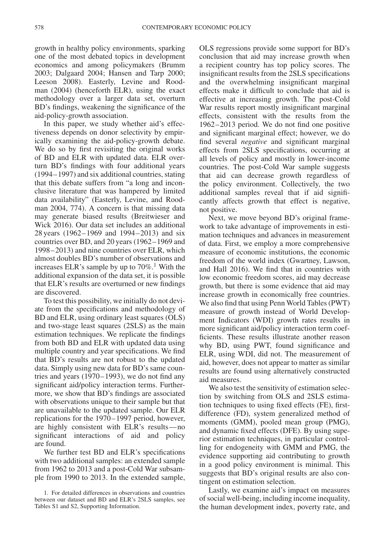growth in healthy policy environments, sparking one of the most debated topics in development economics and among policymakers (Brumm 2003; Dalgaard 2004; Hansen and Tarp 2000; Leeson 2008). Easterly, Levine and Roodman (2004) (henceforth ELR), using the exact methodology over a larger data set, overturn BD's findings, weakening the significance of the aid-policy-growth association.

In this paper, we study whether aid's effectiveness depends on donor selectivity by empirically examining the aid-policy-growth debate. We do so by first revisiting the original works of BD and ELR with updated data. ELR overturn BD's findings with four additional years (1994–1997) and six additional countries, stating that this debate suffers from "a long and inconclusive literature that was hampered by limited data availability" (Easterly, Levine, and Roodman 2004, 774). A concern is that missing data may generate biased results (Breitwieser and Wick 2016). Our data set includes an additional 28 years (1962–1969 and 1994–2013) and six countries over BD, and 20 years (1962–1969 and 1998–2013) and nine countries over ELR, which almost doubles BD's number of observations and increases ELR's sample by up to  $70\%$ .<sup>1</sup> With the additional expansion of the data set, it is possible that ELR's results are overturned or new findings are discovered.

To test this possibility, we initially do not deviate from the specifications and methodology of BD and ELR, using ordinary least squares (OLS) and two-stage least squares (2SLS) as the main estimation techniques. We replicate the findings from both BD and ELR with updated data using multiple country and year specifications. We find that BD's results are not robust to the updated data. Simply using new data for BD's same countries and years (1970–1993), we do not find any significant aid/policy interaction terms. Furthermore, we show that BD's findings are associated with observations unique to their sample but that are unavailable to the updated sample. Our ELR replications for the 1970–1997 period, however, are highly consistent with ELR's results—no significant interactions of aid and policy are found.

We further test BD and ELR's specifications with two additional samples: an extended sample from 1962 to 2013 and a post-Cold War subsample from 1990 to 2013. In the extended sample, OLS regressions provide some support for BD's conclusion that aid may increase growth when a recipient country has top policy scores. The insignificant results from the 2SLS specifications and the overwhelming insignificant marginal effects make it difficult to conclude that aid is effective at increasing growth. The post-Cold War results report mostly insignificant marginal effects, consistent with the results from the 1962–2013 period. We do not find one positive and significant marginal effect; however, we do find several *negative* and significant marginal effects from 2SLS specifications, occurring at all levels of policy and mostly in lower-income countries. The post-Cold War sample suggests that aid can decrease growth regardless of the policy environment. Collectively, the two additional samples reveal that if aid significantly affects growth that effect is negative, not positive.

Next, we move beyond BD's original framework to take advantage of improvements in estimation techniques and advances in measurement of data. First, we employ a more comprehensive measure of economic institutions, the economic freedom of the world index (Gwartney, Lawson, and Hall 2016). We find that in countries with low economic freedom scores, aid may decrease growth, but there is some evidence that aid may increase growth in economically free countries. We also find that using Penn World Tables (PWT) measure of growth instead of World Development Indicators (WDI) growth rates results in more significant aid/policy interaction term coefficients. These results illustrate another reason why BD, using PWT, found significance and ELR, using WDI, did not. The measurement of aid, however, does not appear to matter as similar results are found using alternatively constructed aid measures.

We also test the sensitivity of estimation selection by switching from OLS and 2SLS estimation techniques to using fixed effects (FE), firstdifference (FD), system generalized method of moments (GMM), pooled mean group (PMG), and dynamic fixed effects (DFE). By using superior estimation techniques, in particular controlling for endogeneity with GMM and PMG, the evidence supporting aid contributing to growth in a good policy environment is minimal. This suggests that BD's original results are also contingent on estimation selection.

Lastly, we examine aid's impact on measures of social well-being, including income inequality, the human development index, poverty rate, and

<span id="page-1-0"></span><sup>1.</sup> For detailed differences in observations and countries between our dataset and BD and ELR's 2SLS samples, see Tables S1 and S2, Supporting Information.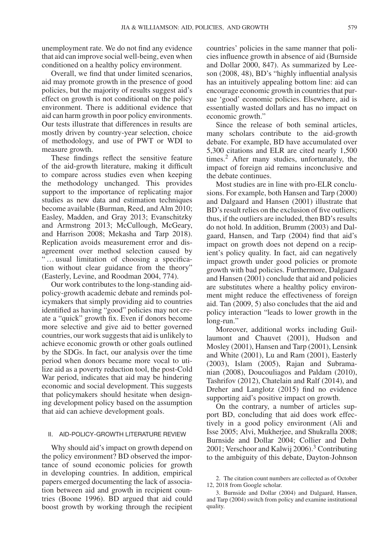unemployment rate. We do not find any evidence that aid can improve social well-being, even when conditioned on a healthy policy environment.

Overall, we find that under limited scenarios, aid may promote growth in the presence of good policies, but the majority of results suggest aid's effect on growth is not conditional on the policy environment. There is additional evidence that aid can harm growth in poor policy environments. Our tests illustrate that differences in results are mostly driven by country-year selection, choice of methodology, and use of PWT or WDI to measure growth.

These findings reflect the sensitive feature of the aid-growth literature, making it difficult to compare across studies even when keeping the methodology unchanged. This provides support to the importance of replicating major studies as new data and estimation techniques become available (Burman, Reed, and Alm 2010; Easley, Madden, and Gray 2013; Evanschitzky and Armstrong 2013; McCullough, McGeary, and Harrison 2008; Mekasha and Tarp 2018). Replication avoids measurement error and disagreement over method selection caused by ... usual limitation of choosing a specification without clear guidance from the theory" (Easterly, Levine, and Roodman 2004, 774).

Our work contributes to the long-standing aidpolicy-growth academic debate and reminds policymakers that simply providing aid to countries identified as having "good" policies may not create a "quick" growth fix. Even if donors become more selective and give aid to better governed countries, our work suggests that aid is unlikely to achieve economic growth or other goals outlined by the SDGs. In fact, our analysis over the time period when donors became more vocal to utilize aid as a poverty reduction tool, the post-Cold War period, indicates that aid may be hindering economic and social development. This suggests that policymakers should hesitate when designing development policy based on the assumption that aid can achieve development goals.

#### II. AID-POLICY-GROWTH LITERATURE REVIEW

Why should aid's impact on growth depend on the policy environment? BD observed the importance of sound economic policies for growth in developing countries. In addition, empirical papers emerged documenting the lack of association between aid and growth in recipient countries (Boone 1996). BD argued that aid could boost growth by working through the recipient countries' policies in the same manner that policies influence growth in absence of aid (Burnside and Dollar 2000, 847). As summarized by Leeson (2008, 48), BD's "highly influential analysis has an intuitively appealing bottom line: aid can encourage economic growth in countries that pursue 'good' economic policies. Elsewhere, aid is essentially wasted dollars and has no impact on economic growth."

Since the release of both seminal articles, many scholars contribute to the aid-growth debate. For example, BD have accumulated over 5,300 citations and ELR are cited nearly 1,500 times.[2](#page-2-0) After many studies, unfortunately, the impact of foreign aid remains inconclusive and the debate continues.

Most studies are in line with pro-ELR conclusions. For example, both Hansen and Tarp (2000) and Dalgaard and Hansen (2001) illustrate that BD's result relies on the exclusion of five outliers; thus, if the outliers are included, then BD's results do not hold. In addition, Brumm (2003) and Dalgaard, Hansen, and Tarp (2004) find that aid's impact on growth does not depend on a recipient's policy quality. In fact, aid can negatively impact growth under good policies or promote growth with bad policies. Furthermore, Dalgaard and Hansen (2001) conclude that aid and policies are substitutes where a healthy policy environment might reduce the effectiveness of foreign aid. Tan (2009, 5) also concludes that the aid and policy interaction "leads to lower growth in the long-run."

Moreover, additional works including Guillaumont and Chauvet (2001), Hudson and Mosley (2001), Hansen and Tarp (2001), Lensink and White (2001), Lu and Ram (2001), Easterly (2003), Islam (2005), Rajan and Subramanian (2008), Doucouliagos and Paldam (2010), Tashrifov (2012), Chatelain and Ralf (2014), and Dreher and Langlotz (2015) find no evidence supporting aid's positive impact on growth.

On the contrary, a number of articles support BD, concluding that aid does work effectively in a good policy environment (Ali and Isse 2005; Alvi, Mukherjee, and Shukralla 2008; Burnside and Dollar 2004; Collier and Dehn 2001; Verschoor and Kalwij 2006)[.3](#page-2-1) Contributing to the ambiguity of this debate, Dayton-Johnson

<span id="page-2-0"></span><sup>2.</sup> The citation count numbers are collected as of October 12, 2018 from Google scholar.

<span id="page-2-1"></span><sup>3.</sup> Burnside and Dollar (2004) and Dalgaard, Hansen, and Tarp (2004) switch from policy and examine institutional quality.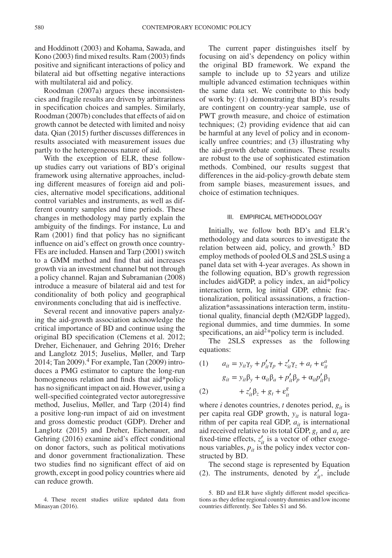and Hoddinott (2003) and Kohama, Sawada, and Kono (2003) find mixed results. Ram (2003) finds positive and significant interactions of policy and bilateral aid but offsetting negative interactions with multilateral aid and policy.

Roodman (2007a) argues these inconsistencies and fragile results are driven by arbitrariness in specification choices and samples. Similarly, Roodman (2007b) concludes that effects of aid on growth cannot be detected with limited and noisy data. Qian (2015) further discusses differences in results associated with measurement issues due partly to the heterogeneous nature of aid.

With the exception of ELR, these followup studies carry out variations of BD's original framework using alternative approaches, including different measures of foreign aid and policies, alternative model specifications, additional control variables and instruments, as well as different country samples and time periods. These changes in methodology may partly explain the ambiguity of the findings. For instance, Lu and Ram (2001) find that policy has no significant influence on aid's effect on growth once country-FEs are included. Hansen and Tarp (2001) switch to a GMM method and find that aid increases growth via an investment channel but not through a policy channel. Rajan and Subramanian (2008) introduce a measure of bilateral aid and test for conditionality of both policy and geographical environments concluding that aid is ineffective.

Several recent and innovative papers analyzing the aid-growth association acknowledge the critical importance of BD and continue using the original BD specification (Clemens et al. 2012; Dreher, Eichenauer, and Gehring 2016; Dreher and Langlotz 2015; Juselius, Møller, and Tarp 2014; Tan 2009). $4$  For example, Tan (2009) introduces a PMG estimator to capture the long-run homogeneous relation and finds that aid\*policy has no significant impact on aid. However, using a well-specified cointegrated vector autoregressive method, Juselius, Møller, and Tarp (2014) find a positive long-run impact of aid on investment and gross domestic product (GDP). Dreher and Langlotz (2015) and Dreher, Eichenauer, and Gehring (2016) examine aid's effect conditional on donor factors, such as political motivations and donor government fractionalization. These two studies find no significant effect of aid on growth, except in good policy countries where aid can reduce growth.

The current paper distinguishes itself by focusing on aid's dependency on policy within the original BD framework. We expand the sample to include up to 52 years and utilize multiple advanced estimation techniques within the same data set. We contribute to this body of work by: (1) demonstrating that BD's results are contingent on country-year sample, use of PWT growth measure, and choice of estimation techniques; (2) providing evidence that aid can be harmful at any level of policy and in economically unfree countries; and (3) illustrating why the aid-growth debate continues. These results are robust to the use of sophisticated estimation methods. Combined, our results suggest that differences in the aid-policy-growth debate stem from sample biases, measurement issues, and choice of estimation techniques.

#### III. EMPIRICAL METHODOLOGY

Initially, we follow both BD's and ELR's methodology and data sources to investigate the relation between aid, policy, and growth.<sup>[5](#page-3-1)</sup> BD employ methods of pooled OLS and 2SLS using a panel data set with 4-year averages. As shown in the following equation, BD's growth regression includes aid/GDP, a policy index, an aid\*policy interaction term, log initial GDP, ethnic fractionalization, political assassinations, a fractionalization\*assassinations interaction term, institutional quality, financial depth (M2/GDP lagged), regional dummies, and time dummies. In some specifications, an aid<sup>2\*</sup>policy term is included.

The 2SLS expresses as the following equations:

(1) 
$$
a_{it} = y_{it}\gamma_y + p'_{it}\gamma_p + z'_{it}\gamma_z + a_t + \varepsilon^a_{it}
$$

$$
g_{it} = y_{it}\beta_y + \alpha_{it}\beta_a + p'_{it}\beta_p + \alpha_{it}p'_{it}\beta_1
$$

$$
(2) \qquad + z'_{it}\beta_z + g_t + \varepsilon^g_{it}
$$

where *i* denotes countries, *t* denotes period,  $g_{it}$  is per capita real GDP growth,  $y_{it}$  is natural logarithm of per capita real GDP, *ait* is international aid received relative to its total GDP,  $g_t$  and  $a_t$  are fixed-time effects,  $z'_{it}$  is a vector of other exogenous variables,  $p_{it}$  is the policy index vector constructed by BD.

The second stage is represented by Equation (2). The instruments, denoted by  $z'_{it}$ , include

<span id="page-3-0"></span><sup>4.</sup> These recent studies utilize updated data from Minasyan (2016).

<span id="page-3-1"></span><sup>5.</sup> BD and ELR have slightly different model specifications as they define regional country dummies and low income countries differently. See Tables S1 and S6.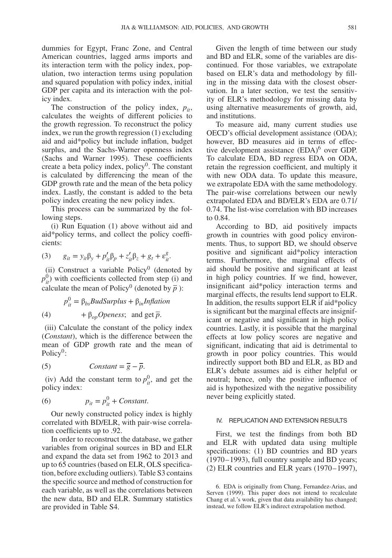dummies for Egypt, Franc Zone, and Central American countries, lagged arms imports and its interaction term with the policy index, population, two interaction terms using population and squared population with policy index, initial GDP per capita and its interaction with the policy index.

The construction of the policy index,  $p_{it}$ , calculates the weights of different policies to the growth regression. To reconstruct the policy index, we run the growth regression (1) excluding aid and aid\*policy but include inflation, budget surplus, and the Sachs-Warner openness index (Sachs and Warner 1995). These coefficients create a beta policy index, policy $<sup>0</sup>$ . The constant</sup> is calculated by differencing the mean of the GDP growth rate and the mean of the beta policy index. Lastly, the constant is added to the beta policy index creating the new policy index.

This process can be summarized by the following steps.

(i) Run Equation (1) above without aid and aid\*policy terms, and collect the policy coefficients:

(3) 
$$
g_{it} = y_{it}\beta_y + p'_{it}\beta_p + z'_{it}\beta_z + g_t + \varepsilon_{it}^g.
$$

(ii) Construct a variable Policy<sup>0</sup> (denoted by  $p_{ii}^0$ ) with coefficients collected from step (i) and calculate the mean of Policy<sup>0</sup> (denoted by  $\bar{p}$ ):

$$
p_{it}^{0} = \beta_{bs} BudSurplus + \beta_{in} Inflation
$$
  
(4) +  $\beta_{op} Openess$ ; and get  $\bar{p}$ .

(iii) Calculate the constant of the policy index (*Constant*), which is the difference between the mean of GDP growth rate and the mean of Policy $0$ :

(5) 
$$
Constant = \overline{g} - \overline{p}.
$$

(iv) Add the constant term to  $p_{it}^0$ , and get the policy index:

(6) 
$$
p_{it} = p_{it}^0 + Constant.
$$

Our newly constructed policy index is highly correlated with BD/ELR, with pair-wise correlation coefficients up to .92.

In order to reconstruct the database, we gather variables from original sources in BD and ELR and expand the data set from 1962 to 2013 and up to 65 countries (based on ELR, OLS specification, before excluding outliers). Table S3 contains the specific source and method of construction for each variable, as well as the correlations between the new data, BD and ELR. Summary statistics are provided in Table S4.

Given the length of time between our study and BD and ELR, some of the variables are discontinued. For those variables, we extrapolate based on ELR's data and methodology by filling in the missing data with the closest observation. In a later section, we test the sensitivity of ELR's methodology for missing data by using alternative measurements of growth, aid, and institutions.

To measure aid, many current studies use OECD's official development assistance (ODA); however, BD measures aid in terms of effec-tive development assistance (EDA)<sup>[6](#page-4-0)</sup> over GDP. To calculate EDA, BD regress EDA on ODA, retain the regression coefficient, and multiply it with new ODA data. To update this measure, we extrapolate EDA with the same methodology. The pair-wise correlations between our newly extrapolated EDA and BD/ELR's EDA are 0.71/ 0.74. The list-wise correlation with BD increases to 0.84.

According to BD, aid positively impacts growth in countries with good policy environments. Thus, to support BD, we should observe positive and significant aid\*policy interaction terms. Furthermore, the marginal effects of aid should be positive and significant at least in high policy countries. If we find, however, insignificant aid\*policy interaction terms and marginal effects, the results lend support to ELR. In addition, the results support ELR if aid\*policy is significant but the marginal effects are insignificant or negative and significant in high policy countries. Lastly, it is possible that the marginal effects at low policy scores are negative and significant, indicating that aid is detrimental to growth in poor policy countries. This would indirectly support both BD and ELR, as BD and ELR's debate assumes aid is either helpful or neutral; hence, only the positive influence of aid is hypothesized with the negative possibility never being explicitly stated.

#### IV. REPLICATION AND EXTENSION RESULTS

First, we test the findings from both BD and ELR with updated data using multiple specifications: (1) BD countries and BD years (1970–1993), full country sample and BD years; (2) ELR countries and ELR years (1970–1997),

<span id="page-4-0"></span><sup>6.</sup> EDA is originally from Chang, Fernandez-Arias, and Serven (1999). This paper does not intend to recalculate Chang et al.'s work, given that data availability has changed; instead, we follow ELR's indirect extrapolation method.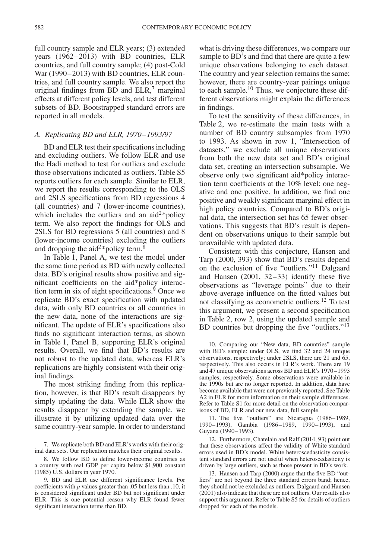full country sample and ELR years; (3) extended years (1962–2013) with BD countries, ELR countries, and full country sample; (4) post-Cold War (1990–2013) with BD countries, ELR countries, and full country sample. We also report the original findings from BD and  $ELR$ ,<sup>[7](#page-5-0)</sup> marginal effects at different policy levels, and test different subsets of BD. Bootstrapped standard errors are reported in all models.

#### *A. Replicating BD and ELR, 1970–1993/97*

BD and ELR test their specifications including and excluding outliers. We follow ELR and use the Hadi method to test for outliers and exclude those observations indicated as outliers. Table S5 reports outliers for each sample. Similar to ELR, we report the results corresponding to the OLS and 2SLS specifications from BD regressions 4 (all countries) and 7 (lower-income countries), which includes the outliers and an  $aid^{2*}$ policy term. We also report the findings for OLS and 2SLS for BD regressions 5 (all countries) and 8 (lower-income countries) excluding the outliers and dropping the aid<sup>2\*</sup>policy term.<sup>8</sup>

In Table 1, Panel A, we test the model under the same time period as BD with newly collected data. BD's original results show positive and significant coefficients on the aid\*policy interaction term in six of eight specifications.<sup>9</sup> Once we replicate BD's exact specification with updated data, with only BD countries or all countries in the new data, none of the interactions are significant. The update of ELR's specifications also finds no significant interaction terms, as shown in Table 1, Panel B, supporting ELR's original results. Overall, we find that BD's results are not robust to the updated data, whereas ELR's replications are highly consistent with their original findings.

The most striking finding from this replication, however, is that BD's result disappears by simply updating the data. While ELR show the results disappear by extending the sample, we illustrate it by utilizing updated data over the same country-year sample. In order to understand

<span id="page-5-1"></span>8. We follow BD to define lower-income countries as a country with real GDP per capita below \$1,900 constant (1985) U.S. dollars in year 1970.

<span id="page-5-2"></span>9. BD and ELR use different significance levels. For coefficients with *p* values greater than .05 but less than .10, it is considered significant under BD but not significant under ELR. This is one potential reason why ELR found fewer significant interaction terms than BD.

what is driving these differences, we compare our sample to BD's and find that there are quite a few unique observations belonging to each dataset. The country and year selection remains the same; however, there are country-year pairings unique to each sample.[10](#page-5-3) Thus, we conjecture these different observations might explain the differences in findings.

To test the sensitivity of these differences, in Table 2, we re-estimate the main tests with a number of BD country subsamples from 1970 to 1993. As shown in row 1, "Intersection of datasets," we exclude all unique observations from both the new data set and BD's original data set, creating an intersection subsample. We observe only two significant aid\*policy interaction term coefficients at the 10% level: one negative and one positive. In addition, we find one positive and weakly significant marginal effect in high policy countries. Compared to BD's original data, the intersection set has 65 fewer observations. This suggests that BD's result is dependent on observations unique to their sample but unavailable with updated data.

Consistent with this conjecture, Hansen and Tarp (2000, 393) show that BD's results depend on the exclusion of five "outliers.["11](#page-5-4) Dalgaard and Hansen (2001, 32–33) identify these five observations as "leverage points" due to their above-average influence on the fitted values but not classifying as econometric outliers.[12](#page-5-5) To test this argument, we present a second specification in Table 2, row 2, using the updated sample and BD countries but dropping the five "outliers."<sup>13</sup>

<span id="page-5-3"></span>10. Comparing our "New data, BD countries" sample with BD's sample: under OLS, we find 32 and 24 unique observations, respectively; under 2SLS, there are 21 and 65, respectively. This also occurs in ELR's work. There are 19 and 47 unique observations across BD and ELR's 1970–1993 samples, respectively. Some observations were available in the 1990s but are no longer reported. In addition, data have become available that were not previously reported. See Table A2 in ELR for more information on their sample differences. Refer to Table S1 for more detail on the observation comparisons of BD, ELR and our new data, full sample.

<span id="page-5-4"></span>11. The five "outliers" are Nicaragua (1986–1989, 1990–1993), Gambia (1986–1989, 1990–1993), and Guyana (1990–1993).

<span id="page-5-5"></span>12. Furthermore, Chatelain and Ralf (2014, 93) point out that these observations affect the validity of White standard errors used in BD's model. White heteroscedasticity consistent standard errors are not useful when heteroscedasticity is driven by large outliers, such as those present in BD's work.

<span id="page-5-6"></span>13. Hansen and Tarp (2000) argue that the five BD "outliers" are not beyond the three standard errors band; hence, they should not be excluded as outliers. Dalgaard and Hansen (2001) also indicate that these are not outliers. Our results also support this argument. Refer to Table S5 for details of outliers dropped for each of the models.

<span id="page-5-0"></span><sup>7.</sup> We replicate both BD and ELR's works with their original data sets. Our replication matches their original results.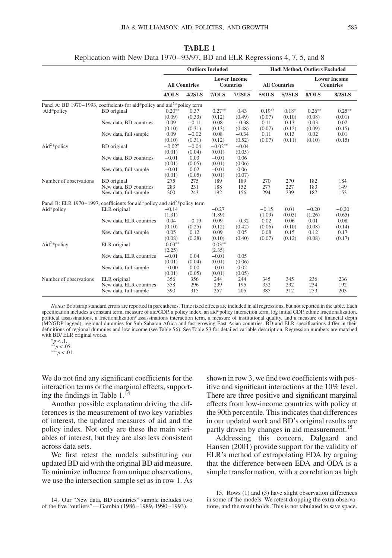|                          |                                                                                       |                    |                      | <b>Outliers Included</b> |                                         |                    |                      | <b>Hadi Method, Outliers Excluded</b> |                                         |
|--------------------------|---------------------------------------------------------------------------------------|--------------------|----------------------|--------------------------|-----------------------------------------|--------------------|----------------------|---------------------------------------|-----------------------------------------|
|                          |                                                                                       |                    | <b>All Countries</b> |                          | <b>Lower Income</b><br><b>Countries</b> |                    | <b>All Countries</b> |                                       | <b>Lower Income</b><br><b>Countries</b> |
|                          |                                                                                       | 4/OLS              | 4/2SLS               | 7/OLS                    | $7/2$ SLS                               | 5/OLS              | $5/2$ SLS            | 8/OLS                                 | <b>8/2SLS</b>                           |
|                          | Panel A: BD 1970–1993, coefficients for aid*policy and aid <sup>2*</sup> policy term  |                    |                      |                          |                                         |                    |                      |                                       |                                         |
| Aid*policy               | BD original                                                                           | $0.20**$<br>(0.09) | 0.37<br>(0.33)       | $0.27**$<br>(0.12)       | 0.43<br>(0.49)                          | $0.19**$<br>(0.07) | $0.18*$<br>(0.10)    | $0.26**$<br>(0.08)                    | $0.25***$<br>(0.01)                     |
|                          | New data, BD countries                                                                | 0.09<br>(0.10)     | $-0.11$<br>(0.31)    | 0.08<br>(0.13)           | $-0.38$<br>(0.48)                       | 0.11<br>(0.07)     | 0.13<br>(0.12)       | 0.03<br>(0.09)                        | 0.02<br>(0.15)                          |
|                          | New data, full sample                                                                 | 0.09<br>(0.10)     | $-0.02$<br>(0.31)    | 0.08<br>(0.12)           | $-0.34$<br>(0.52)                       | 0.11<br>(0.07)     | 0.13<br>(0.11)       | 0.02<br>(0.10)                        | 0.01<br>(0.15)                          |
| Aid <sup>2</sup> *policy | <b>BD</b> original                                                                    | $-0.02*$<br>(0.01) | $-0.04$<br>(0.04)    | $-0.02**$<br>(0.01)      | $-0.04$<br>(0.05)                       |                    |                      |                                       |                                         |
|                          | New data, BD countries                                                                | $-0.01$<br>(0.01)  | 0.03<br>(0.05)       | $-0.01$<br>(0.01)        | 0.06<br>(0.06)                          |                    |                      |                                       |                                         |
|                          | New data, full sample                                                                 | $-0.01$<br>(0.01)  | 0.02<br>(0.05)       | $-0.01$<br>(0.01)        | 0.06<br>(0.07)                          |                    |                      |                                       |                                         |
| Number of observations   | <b>BD</b> original<br>New data, BD countries                                          | 275<br>283         | 275<br>231           | 189<br>188               | 189<br>152                              | 270<br>277         | 270<br>227           | 182<br>183                            | 184<br>149                              |
|                          | New data, full sample                                                                 | 300                | 243                  | 192                      | 156                                     | 294                | 239                  | 187                                   | 153                                     |
|                          | Panel B: ELR 1970–1997, coefficients for aid*policy and aid <sup>2*</sup> policy term |                    |                      |                          |                                         |                    |                      |                                       |                                         |
| Aid*policy               | ELR original                                                                          | $-0.14$<br>(1.31)  |                      | $-0.27$<br>(1.89)        |                                         | $-0.15$<br>(1.09)  | 0.01<br>(0.05)       | $-0.20$<br>(1.26)                     | $-0.20$<br>(0.65)                       |
|                          | New data, ELR countries                                                               | 0.04<br>(0.10)     | $-0.19$<br>(0.25)    | 0.09<br>(0.12)           | $-0.32$<br>(0.42)                       | 0.02<br>(0.06)     | 0.06<br>(0.10)       | 0.01<br>(0.08)                        | 0.08<br>(0.14)                          |
|                          | New data, full sample                                                                 | 0.05<br>(0.08)     | 0.12<br>(0.28)       | 0.09<br>(0.10)           | 0.05<br>(0.40)                          | 0.08<br>(0.07)     | 0.15<br>(0.12)       | 0.12<br>(0.08)                        | 0.17<br>(0.17)                          |
| Aid <sup>2*</sup> policy | ELR original                                                                          | $0.03**$<br>(2.25) |                      | $0.03**$<br>(2.35)       |                                         |                    |                      |                                       |                                         |
|                          | New data, ELR countries                                                               | $-0.01$<br>(0.01)  | 0.04<br>(0.04)       | $-0.01$<br>(0.01)        | 0.05<br>(0.06)                          |                    |                      |                                       |                                         |
|                          | New data, full sample                                                                 | $-0.00$<br>(0.01)  | 0.00<br>(0.05)       | $-0.01$<br>(0.01)        | 0.02<br>(0.05)                          |                    |                      |                                       |                                         |
| Number of observations   | ELR original<br>New data, ELR countries                                               | 356<br>358         | 356<br>296           | 244<br>239               | 244<br>195                              | 345<br>352         | 345<br>292           | 236<br>234                            | 236<br>192                              |
|                          | New data, full sample                                                                 | 390                | 315                  | 257                      | 205                                     | 385                | 312                  | 253                                   | 203                                     |

**TABLE 1** Replication with New Data 1970–93/97, BD and ELR Regressions 4, 7, 5, and 8

*Notes:* Bootstrap standard errors are reported in parentheses. Time fixed effects are included in all regressions, but not reported in the table. Each specification includes a constant term, measure of aid/GDP, a policy index, an aid\*policy interaction term, log initial GDP, ethnic fractionalization, political assassinations, a fractionalization\*assassinations interaction term, a measure of institutional quality, and a measure of financial depth (M2/GDP lagged), regional dummies for Sub-Saharan Africa and fast-growing East Asian countries. BD and ELR specifications differ in their definitions of regional dummies and low income (see Table S6). See Table S3 for detailed variable description. Regression numbers are matched with BD/ ELR original works. <sup>∗</sup>*p<*.1. ∗∗*p<*.05. ∗∗∗*p<*.01.

We do not find any significant coefficients for the interaction terms or the marginal effects, supporting the findings in Table  $1.\overline{14}$ 

Another possible explanation driving the differences is the measurement of two key variables of interest, the updated measures of aid and the policy index. Not only are these the main variables of interest, but they are also less consistent across data sets.

We first retest the models substituting our updated BD aid with the original BD aid measure. To minimize influence from unique observations, we use the intersection sample set as in row 1. As

<span id="page-6-0"></span>14. Our "New data, BD countries" sample includes two of the five "outliers"—Gambia (1986–1989, 1990–1993).

shown in row 3, we find two coefficients with positive and significant interactions at the 10% level. There are three positive and significant marginal effects from low-income countries with policy at the 90th percentile. This indicates that differences in our updated work and BD's original results are partly driven by changes in aid measurement.<sup>[15](#page-6-1)</sup>

Addressing this concern, Dalgaard and Hansen (2001) provide support for the validity of ELR's method of extrapolating EDA by arguing that the difference between EDA and ODA is a simple transformation, with a correlation as high

<span id="page-6-1"></span>15. Rows (1) and (3) have slight observation differences in some of the models. We retest dropping the extra observations, and the result holds. This is not tabulated to save space.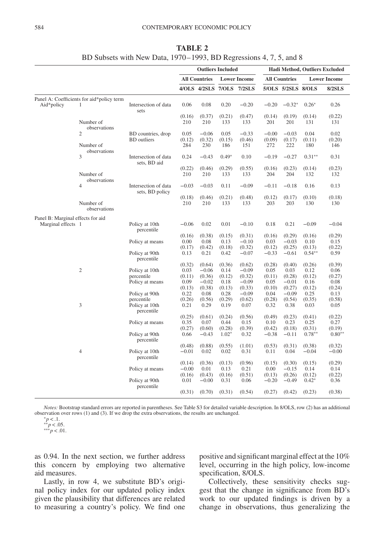|                                   |                                           |                                         | <b>Outliers Included</b> |                           |                   |                     | Hadi Method, Outliers Excluded |                      |                    |                     |
|-----------------------------------|-------------------------------------------|-----------------------------------------|--------------------------|---------------------------|-------------------|---------------------|--------------------------------|----------------------|--------------------|---------------------|
|                                   |                                           |                                         |                          | <b>All Countries</b>      |                   | <b>Lower Income</b> |                                | <b>All Countries</b> |                    | <b>Lower Income</b> |
|                                   |                                           |                                         |                          | 4/OLS 4/2SLS 7/OLS 7/2SLS |                   |                     |                                | 5/OLS 5/2SLS 8/OLS   |                    | <b>8/2SLS</b>       |
|                                   | Panel A: Coefficients for aid*policy term |                                         |                          |                           |                   |                     |                                |                      |                    |                     |
| Aid*policy                        | 1                                         | Intersection of data<br>sets            | 0.06                     | 0.08                      | 0.20              | $-0.20$             | $-0.20$                        | $-0.32*$             | $0.26*$            | 0.26                |
|                                   | Number of<br>observations                 |                                         | (0.16)<br>210            | (0.37)<br>210             | (0.21)<br>133     | (0.47)<br>133       | (0.14)<br>201                  | (0.19)<br>201        | (0.14)<br>131      | (0.22)<br>131       |
|                                   | $\overline{2}$                            | BD countries, drop                      | 0.05                     | $-0.06$                   | 0.05              | $-0.33$             | $-0.00$                        | $-0.03$              | 0.04               | 0.02                |
|                                   |                                           | <b>BD</b> outliers                      | (0.12)                   | (0.32)                    | (0.15)            | (0.46)              | (0.09)                         | (0.17)               | (0.11)             | (0.20)              |
|                                   | Number of<br>observations                 |                                         | 284                      | 230                       | 186               | 151                 | 272                            | 222                  | 180                | 146                 |
|                                   | 3                                         | Intersection of data<br>sets. BD aid    | 0.24                     | $-0.43$                   | $0.49*$           | 0.10                | $-0.19$                        | $-0.27$              | $0.31**$           | 0.31                |
|                                   |                                           |                                         | (0.22)                   | (0.46)                    | (0.29)            | (0.55)              | (0.16)                         | (0.23)               | (0.14)             | (0.23)              |
|                                   | Number of<br>observations                 |                                         | 210                      | 210                       | 133               | 133                 | 204                            | 204                  | 132                | 132                 |
|                                   | $\overline{4}$                            | Intersection of data<br>sets, BD policy | $-0.03$                  | $-0.03$                   | 0.11              | $-0.09$             | $-0.11$                        | $-0.18$              | 0.16               | 0.13                |
|                                   |                                           |                                         | (0.18)                   | (0.46)                    | (0.21)            | (0.48)              | (0.12)                         | (0.17)               | (0.10)             | (0.18)              |
|                                   | Number of<br>observations                 |                                         | 210                      | 210                       | 133               | 133                 | 203                            | 203                  | 130                | 130                 |
| Panel B: Marginal effects for aid |                                           |                                         |                          |                           |                   |                     |                                |                      |                    |                     |
| Marginal effects 1                |                                           | Policy at 10th<br>percentile            | $-0.06$                  | 0.02                      | 0.01              | $-0.10$             | 0.18                           | 0.21                 | $-0.09$            | $-0.04$             |
|                                   |                                           |                                         | (0.16)                   | (0.38)                    | (0.15)            | (0.31)              | (0.16)                         | (0.29)               | (0.16)             | (0.29)              |
|                                   |                                           | Policy at means                         | 0.00                     | 0.08                      | 0.13              | $-0.10$             | 0.03                           | $-0.03$              | 0.10               | 0.15                |
|                                   |                                           |                                         | (0.17)                   | (0.42)                    | (0.18)            | (0.32)              | (0.12)                         | (0.25)               | (0.13)             | (0.22)              |
|                                   |                                           | Policy at 90th<br>percentile            | 0.13                     | 0.21                      | 0.42              | $-0.07$             | $-0.33$                        | $-0.61$              | $0.54***$          | 0.59                |
|                                   | $\overline{2}$                            | Policy at 10th                          | (0.32)<br>0.03           | (0.64)<br>$-0.06$         | (0.36)<br>0.14    | (0.62)<br>$-0.09$   | (0.28)<br>0.05                 | (0.40)<br>0.03       | (0.26)<br>0.12     | (0.39)<br>0.06      |
|                                   |                                           | percentile                              | (0.11)                   | (0.36)                    | (0.12)            | (0.32)              | (0.11)                         | (0.28)               | (0.12)             | (0.27)              |
|                                   |                                           | Policy at means                         | 0.09                     | $-0.02$                   | 0.18              | $-0.09$             | 0.05                           | $-0.01$              | 0.16               | 0.08                |
|                                   |                                           |                                         | (0.13)                   | (0.38)                    | (0.13)            | (0.33)              | (0.10)                         | (0.27)               | (0.12)             | (0.24)              |
|                                   |                                           | Policy at 90th                          | 0.22                     | 0.08                      | 0.28              | $-0.09$             | 0.04                           | $-0.09$              | 0.25               | 0.13                |
|                                   |                                           | percentile                              | (0.26)                   | (0.56)                    | (0.29)            | (0.62)              | (0.28)                         | (0.54)               | (0.35)             | (0.58)              |
|                                   | 3                                         | Policy at 10th<br>percentile            | 0.21                     | 0.29                      | 0.19              | 0.07                | 0.32                           | 0.38                 | 0.03               | 0.05                |
|                                   |                                           |                                         | (0.25)                   | (0.61)                    | (0.24)            | (0.56)              | (0.49)                         | (0.23)               | (0.41)             | (0.22)              |
|                                   |                                           | Policy at means                         | 0.35                     | 0.07                      | 0.44              | 0.15                | 0.10                           | 0.23                 | 0.25               | 0.27                |
|                                   |                                           | Policy at 90th                          | (0.27)<br>0.66           | (0.60)<br>$-0.43$         | (0.28)<br>$1.02*$ | (0.39)<br>0.32      | (0.42)<br>$-0.38$              | (0.18)<br>$-0.11$    | (0.31)<br>$0.78**$ | (0.19)<br>$0.80**$  |
|                                   |                                           | percentile                              | (0.48)                   | (0.88)                    | (0.55)            | (1.01)              | (0.53)                         | (0.31)               | (0.38)             | (0.32)              |
|                                   | $\overline{4}$                            | Policy at 10th                          | $-0.01$                  | 0.02                      | 0.02              | 0.31                | 0.11                           | 0.04                 | $-0.04$            | $-0.00$             |
|                                   |                                           | percentile                              |                          |                           |                   |                     |                                |                      |                    |                     |
|                                   |                                           |                                         | (0.14)                   | (0.36)                    | (0.13)            | (0.96)              | (0.15)                         | (0.30)               | (0.15)             | (0.29)              |
|                                   |                                           | Policy at means                         | $-0.00$                  | 0.01                      | 0.13              | 0.21                | 0.00                           | $-0.15$              | 0.14               | 0.14                |
|                                   |                                           |                                         | (0.16)                   | (0.43)                    | (0.16)            | (0.51)              | (0.13)                         | (0.26)               | (0.12)             | (0.22)              |
|                                   |                                           | Policy at 90th                          | 0.01                     | $-0.00$                   | 0.31              | 0.06                | $-0.20$                        | $-0.49$              | $0.42*$            | 0.36                |
|                                   |                                           | percentile                              | (0.31)                   | (0.70)                    | (0.31)            | (0.54)              | (0.27)                         | (0.42)               | (0.23)             | (0.38)              |

**TABLE 2** BD Subsets with New Data, 1970–1993, BD Regressions 4, 7, 5, and 8

*Notes:* Bootstrap standard errors are reported in parentheses. See Table S3 for detailed variable description. In 8/OLS, row (2) has an additional observation over rows (1) and (3). If we drop the extra observations, the results are unchanged. <sup>∗</sup>*p<*.1. ∗∗*p<*.05. ∗∗∗*p<*.01.

as 0.94. In the next section, we further address this concern by employing two alternative aid measures.

Lastly, in row 4, we substitute BD's original policy index for our updated policy index given the plausibility that differences are related to measuring a country's policy. We find one positive and significant marginal effect at the 10% level, occurring in the high policy, low-income specification, 8/OLS.

Collectively, these sensitivity checks suggest that the change in significance from BD's work to our updated findings is driven by a change in observations, thus generalizing the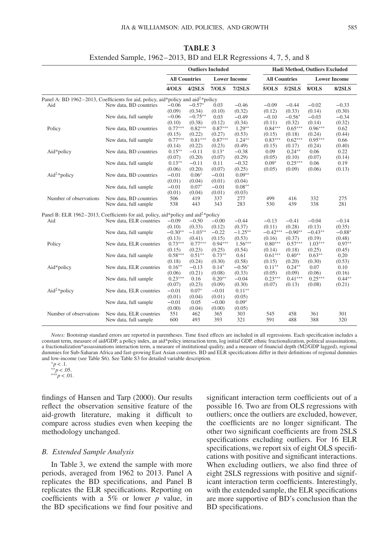|                                                                                                                                            |                         |                                                                                                                                                                                                                                                                                                                                                                                                                                                                                                                                                                                                                                                                                                                                                                                                                                                                                                                                                                                                                                                        |           | <b>Lower Income</b><br>7/OLS<br>$7/2$ SLS<br>0.03<br>$-0.46$<br>$-0.09$<br>(0.10)<br>(0.32)<br>(0.12)<br>0.03<br>$-0.49$<br>$-0.10$<br>(0.12)<br>(0.34)<br>(0.11)<br>$0.87***$<br>$1.29**$<br>(0.27)<br>(0.53)<br>(0.15)<br>$0.87***$<br>$1.24**$<br>(0.23)<br>(0.49)<br>(0.15)<br>$0.13*$<br>$-0.38$<br>0.09<br>(0.07)<br>(0.29)<br>(0.05)<br>$0.09*$<br>0.11<br>$-0.32$<br>(0.25)<br>(0.07)<br>(0.05)<br>$0.09**$<br>$-0.01$<br>(0.01)<br>(0.04)<br>$0.08**$<br>$-0.01$<br>(0.01)<br>(0.03)<br>277<br>337<br>499<br>283<br>343<br>530<br>$-0.00$<br>$-0.44$<br>$-0.13$<br>(0.12)<br>(0.37)<br>(0.11)<br>$-0.22$<br>$-1.25***$<br>$-0.42***$<br>(0.15)<br>(0.53)<br>(0.16)<br>$0.94***$<br>$1.56***$<br>$0.80***$<br>(0.25)<br>(0.54)<br>(0.14)<br>$0.73**$<br>$0.61***$<br>0.61<br>(0.30)<br>(0.58)<br>(0.15)<br>$0.14*$<br>$-0.56*$<br>$0.11***$<br>(0.08)<br>(0.33)<br>(0.05) |        |                      | Hadi Method, Outliers Excluded |           |                     |
|--------------------------------------------------------------------------------------------------------------------------------------------|-------------------------|--------------------------------------------------------------------------------------------------------------------------------------------------------------------------------------------------------------------------------------------------------------------------------------------------------------------------------------------------------------------------------------------------------------------------------------------------------------------------------------------------------------------------------------------------------------------------------------------------------------------------------------------------------------------------------------------------------------------------------------------------------------------------------------------------------------------------------------------------------------------------------------------------------------------------------------------------------------------------------------------------------------------------------------------------------|-----------|-----------------------------------------------------------------------------------------------------------------------------------------------------------------------------------------------------------------------------------------------------------------------------------------------------------------------------------------------------------------------------------------------------------------------------------------------------------------------------------------------------------------------------------------------------------------------------------------------------------------------------------------------------------------------------------------------------------------------------------------------------------------------------------------------------------------------------------------------------------------------------------|--------|----------------------|--------------------------------|-----------|---------------------|
|                                                                                                                                            |                         |                                                                                                                                                                                                                                                                                                                                                                                                                                                                                                                                                                                                                                                                                                                                                                                                                                                                                                                                                                                                                                                        |           |                                                                                                                                                                                                                                                                                                                                                                                                                                                                                                                                                                                                                                                                                                                                                                                                                                                                                   |        | <b>All Countries</b> |                                |           | <b>Lower Income</b> |
|                                                                                                                                            |                         | 4/OLS                                                                                                                                                                                                                                                                                                                                                                                                                                                                                                                                                                                                                                                                                                                                                                                                                                                                                                                                                                                                                                                  | 4/2SLS    |                                                                                                                                                                                                                                                                                                                                                                                                                                                                                                                                                                                                                                                                                                                                                                                                                                                                                   |        | 5/OLS                | 5/2SLS                         | 8/OLS     | <b>8/2SLS</b>       |
|                                                                                                                                            |                         |                                                                                                                                                                                                                                                                                                                                                                                                                                                                                                                                                                                                                                                                                                                                                                                                                                                                                                                                                                                                                                                        |           |                                                                                                                                                                                                                                                                                                                                                                                                                                                                                                                                                                                                                                                                                                                                                                                                                                                                                   |        |                      |                                |           |                     |
| Aid                                                                                                                                        | New data, BD countries  | $-0.06$                                                                                                                                                                                                                                                                                                                                                                                                                                                                                                                                                                                                                                                                                                                                                                                                                                                                                                                                                                                                                                                | $-0.57*$  |                                                                                                                                                                                                                                                                                                                                                                                                                                                                                                                                                                                                                                                                                                                                                                                                                                                                                   |        |                      | $-0.44$                        | $-0.02$   | $-0.33$             |
|                                                                                                                                            |                         |                                                                                                                                                                                                                                                                                                                                                                                                                                                                                                                                                                                                                                                                                                                                                                                                                                                                                                                                                                                                                                                        |           |                                                                                                                                                                                                                                                                                                                                                                                                                                                                                                                                                                                                                                                                                                                                                                                                                                                                                   |        |                      | (0.33)                         | (0.14)    | (0.30)              |
|                                                                                                                                            | New data, full sample   | $-0.06$                                                                                                                                                                                                                                                                                                                                                                                                                                                                                                                                                                                                                                                                                                                                                                                                                                                                                                                                                                                                                                                | $-0.75**$ |                                                                                                                                                                                                                                                                                                                                                                                                                                                                                                                                                                                                                                                                                                                                                                                                                                                                                   |        |                      | $-0.56*$                       | $-0.03$   | $-0.34$             |
|                                                                                                                                            |                         | (0.10)                                                                                                                                                                                                                                                                                                                                                                                                                                                                                                                                                                                                                                                                                                                                                                                                                                                                                                                                                                                                                                                 | (0.38)    |                                                                                                                                                                                                                                                                                                                                                                                                                                                                                                                                                                                                                                                                                                                                                                                                                                                                                   |        |                      | (0.32)                         | (0.14)    | (0.32)              |
| Policy                                                                                                                                     | New data, BD countries  | $0.77***$                                                                                                                                                                                                                                                                                                                                                                                                                                                                                                                                                                                                                                                                                                                                                                                                                                                                                                                                                                                                                                              | $0.82***$ |                                                                                                                                                                                                                                                                                                                                                                                                                                                                                                                                                                                                                                                                                                                                                                                                                                                                                   |        | $0.84***$            | $0.65***$                      | $0.96***$ | 0.62                |
|                                                                                                                                            |                         |                                                                                                                                                                                                                                                                                                                                                                                                                                                                                                                                                                                                                                                                                                                                                                                                                                                                                                                                                                                                                                                        |           |                                                                                                                                                                                                                                                                                                                                                                                                                                                                                                                                                                                                                                                                                                                                                                                                                                                                                   |        |                      | (0.18)                         | (0.24)    | (0.44)              |
|                                                                                                                                            | New data, full sample   | $0.77***$                                                                                                                                                                                                                                                                                                                                                                                                                                                                                                                                                                                                                                                                                                                                                                                                                                                                                                                                                                                                                                              |           |                                                                                                                                                                                                                                                                                                                                                                                                                                                                                                                                                                                                                                                                                                                                                                                                                                                                                   |        | $0.83***$            | $0.62***$                      | $0.95***$ | 0.66                |
|                                                                                                                                            |                         |                                                                                                                                                                                                                                                                                                                                                                                                                                                                                                                                                                                                                                                                                                                                                                                                                                                                                                                                                                                                                                                        |           |                                                                                                                                                                                                                                                                                                                                                                                                                                                                                                                                                                                                                                                                                                                                                                                                                                                                                   |        |                      | (0.17)                         | (0.24)    | (0.40)              |
|                                                                                                                                            | New data, BD countries  |                                                                                                                                                                                                                                                                                                                                                                                                                                                                                                                                                                                                                                                                                                                                                                                                                                                                                                                                                                                                                                                        |           |                                                                                                                                                                                                                                                                                                                                                                                                                                                                                                                                                                                                                                                                                                                                                                                                                                                                                   |        |                      | $0.24**$                       | 0.06      | 0.22                |
|                                                                                                                                            |                         |                                                                                                                                                                                                                                                                                                                                                                                                                                                                                                                                                                                                                                                                                                                                                                                                                                                                                                                                                                                                                                                        |           |                                                                                                                                                                                                                                                                                                                                                                                                                                                                                                                                                                                                                                                                                                                                                                                                                                                                                   |        |                      | (0.10)                         | (0.07)    | (0.14)              |
|                                                                                                                                            | New data, full sample   |                                                                                                                                                                                                                                                                                                                                                                                                                                                                                                                                                                                                                                                                                                                                                                                                                                                                                                                                                                                                                                                        |           |                                                                                                                                                                                                                                                                                                                                                                                                                                                                                                                                                                                                                                                                                                                                                                                                                                                                                   |        |                      | $0.25***$                      | 0.06      | 0.19                |
|                                                                                                                                            |                         | <b>Outliers Included</b><br><b>All Countries</b><br>Panel A: BD 1962-2013, Coefficients for aid, policy, aid*policy and aid <sup>2</sup> *policy<br>(0.09)<br>(0.34)<br>(0.15)<br>(0.22)<br>$0.81***$<br>(0.22)<br>(0.14)<br>$0.15***$<br>$-0.11$<br>(0.07)<br>(0.20)<br>$0.13***$<br>$-0.11$<br>(0.06)<br>(0.20)<br>$-0.01$<br>$0.06*$<br>(0.01)<br>(0.04)<br>$-0.01$<br>$0.07*$<br>(0.01)<br>(0.04)<br>506<br>419<br>538<br>443<br>Panel B: ELR 1962-2013, Coefficients for aid, policy, aid*policy and aid <sup>2*</sup> policy<br>$-0.09$<br>$-0.50$<br>(0.10)<br>(0.33)<br>$-1.03**$<br>$-0.30**$<br>(0.13)<br>(0.41)<br>$0.73***$<br>$0.77***$<br>(0.15)<br>(0.23)<br>$0.58***$<br>$0.51**$<br>(0.18)<br>(0.24)<br>$0.16**$<br>$-0.13$<br>(0.06)<br>(0.21)<br>$0.23***$<br>$0.20**$<br>0.16<br>$-0.04$<br>(0.07)<br>(0.09)<br>(0.23)<br>(0.30)<br>$-0.01$<br>$0.07*$<br>$-0.01$<br>$0.11**$<br>(0.01)<br>(0.01)<br>(0.05)<br>(0.04)<br>$-0.01$<br>$-0.00$<br>$0.09*$<br>0.05<br>(0.00)<br>(0.04)<br>(0.00)<br>(0.05)<br>551<br>462<br>365<br>303 |           | (0.09)                                                                                                                                                                                                                                                                                                                                                                                                                                                                                                                                                                                                                                                                                                                                                                                                                                                                            | (0.06) | (0.13)               |                                |           |                     |
|                                                                                                                                            | New data, BD countries  |                                                                                                                                                                                                                                                                                                                                                                                                                                                                                                                                                                                                                                                                                                                                                                                                                                                                                                                                                                                                                                                        |           |                                                                                                                                                                                                                                                                                                                                                                                                                                                                                                                                                                                                                                                                                                                                                                                                                                                                                   |        |                      |                                |           |                     |
|                                                                                                                                            |                         |                                                                                                                                                                                                                                                                                                                                                                                                                                                                                                                                                                                                                                                                                                                                                                                                                                                                                                                                                                                                                                                        |           |                                                                                                                                                                                                                                                                                                                                                                                                                                                                                                                                                                                                                                                                                                                                                                                                                                                                                   |        |                      |                                |           |                     |
| Aid*policy<br>$Aid2 * policy$<br>Number of observations<br>Aid<br>Policy<br>Aid*policy<br>$\text{Aid}^2*$ policy<br>Number of observations | New data, full sample   |                                                                                                                                                                                                                                                                                                                                                                                                                                                                                                                                                                                                                                                                                                                                                                                                                                                                                                                                                                                                                                                        |           |                                                                                                                                                                                                                                                                                                                                                                                                                                                                                                                                                                                                                                                                                                                                                                                                                                                                                   |        |                      |                                |           |                     |
|                                                                                                                                            |                         |                                                                                                                                                                                                                                                                                                                                                                                                                                                                                                                                                                                                                                                                                                                                                                                                                                                                                                                                                                                                                                                        |           |                                                                                                                                                                                                                                                                                                                                                                                                                                                                                                                                                                                                                                                                                                                                                                                                                                                                                   |        |                      |                                |           |                     |
|                                                                                                                                            | New data, BD countries  |                                                                                                                                                                                                                                                                                                                                                                                                                                                                                                                                                                                                                                                                                                                                                                                                                                                                                                                                                                                                                                                        |           |                                                                                                                                                                                                                                                                                                                                                                                                                                                                                                                                                                                                                                                                                                                                                                                                                                                                                   |        |                      | 416                            | 332       | 275                 |
|                                                                                                                                            | New data, full sample   |                                                                                                                                                                                                                                                                                                                                                                                                                                                                                                                                                                                                                                                                                                                                                                                                                                                                                                                                                                                                                                                        |           |                                                                                                                                                                                                                                                                                                                                                                                                                                                                                                                                                                                                                                                                                                                                                                                                                                                                                   |        |                      | 439                            | 338       | 281                 |
|                                                                                                                                            |                         |                                                                                                                                                                                                                                                                                                                                                                                                                                                                                                                                                                                                                                                                                                                                                                                                                                                                                                                                                                                                                                                        |           |                                                                                                                                                                                                                                                                                                                                                                                                                                                                                                                                                                                                                                                                                                                                                                                                                                                                                   |        |                      |                                |           |                     |
|                                                                                                                                            | New data, ELR countries |                                                                                                                                                                                                                                                                                                                                                                                                                                                                                                                                                                                                                                                                                                                                                                                                                                                                                                                                                                                                                                                        |           |                                                                                                                                                                                                                                                                                                                                                                                                                                                                                                                                                                                                                                                                                                                                                                                                                                                                                   |        |                      | $-0.41$                        | $-0.04$   | $-0.14$             |
|                                                                                                                                            |                         |                                                                                                                                                                                                                                                                                                                                                                                                                                                                                                                                                                                                                                                                                                                                                                                                                                                                                                                                                                                                                                                        |           |                                                                                                                                                                                                                                                                                                                                                                                                                                                                                                                                                                                                                                                                                                                                                                                                                                                                                   |        |                      | (0.28)                         | (0.13)    | (0.35)              |
|                                                                                                                                            | New data, full sample   |                                                                                                                                                                                                                                                                                                                                                                                                                                                                                                                                                                                                                                                                                                                                                                                                                                                                                                                                                                                                                                                        |           |                                                                                                                                                                                                                                                                                                                                                                                                                                                                                                                                                                                                                                                                                                                                                                                                                                                                                   |        |                      | $-0.90**$                      | $-0.43**$ | $-0.88*$            |
|                                                                                                                                            |                         |                                                                                                                                                                                                                                                                                                                                                                                                                                                                                                                                                                                                                                                                                                                                                                                                                                                                                                                                                                                                                                                        |           |                                                                                                                                                                                                                                                                                                                                                                                                                                                                                                                                                                                                                                                                                                                                                                                                                                                                                   |        |                      | (0.37)                         | (0.19)    | (0.48)              |
|                                                                                                                                            | New data, ELR countries |                                                                                                                                                                                                                                                                                                                                                                                                                                                                                                                                                                                                                                                                                                                                                                                                                                                                                                                                                                                                                                                        |           |                                                                                                                                                                                                                                                                                                                                                                                                                                                                                                                                                                                                                                                                                                                                                                                                                                                                                   |        |                      | $0.57***$                      | $1.03***$ | $0.97**$            |
|                                                                                                                                            |                         |                                                                                                                                                                                                                                                                                                                                                                                                                                                                                                                                                                                                                                                                                                                                                                                                                                                                                                                                                                                                                                                        |           |                                                                                                                                                                                                                                                                                                                                                                                                                                                                                                                                                                                                                                                                                                                                                                                                                                                                                   |        |                      | (0.18)                         | (0.25)    | (0.45)              |
|                                                                                                                                            | New data, full sample   |                                                                                                                                                                                                                                                                                                                                                                                                                                                                                                                                                                                                                                                                                                                                                                                                                                                                                                                                                                                                                                                        |           |                                                                                                                                                                                                                                                                                                                                                                                                                                                                                                                                                                                                                                                                                                                                                                                                                                                                                   |        |                      | $0.40**$                       | $0.63**$  | 0.20                |
|                                                                                                                                            |                         |                                                                                                                                                                                                                                                                                                                                                                                                                                                                                                                                                                                                                                                                                                                                                                                                                                                                                                                                                                                                                                                        |           |                                                                                                                                                                                                                                                                                                                                                                                                                                                                                                                                                                                                                                                                                                                                                                                                                                                                                   |        |                      | (0.20)                         | (0.30)    | (0.53)              |
|                                                                                                                                            | New data, ELR countries |                                                                                                                                                                                                                                                                                                                                                                                                                                                                                                                                                                                                                                                                                                                                                                                                                                                                                                                                                                                                                                                        |           |                                                                                                                                                                                                                                                                                                                                                                                                                                                                                                                                                                                                                                                                                                                                                                                                                                                                                   |        |                      | $0.24***$                      | 0.07      | 0.10                |
|                                                                                                                                            |                         |                                                                                                                                                                                                                                                                                                                                                                                                                                                                                                                                                                                                                                                                                                                                                                                                                                                                                                                                                                                                                                                        |           |                                                                                                                                                                                                                                                                                                                                                                                                                                                                                                                                                                                                                                                                                                                                                                                                                                                                                   |        |                      | (0.09)                         | (0.06)    | (0.16)              |
|                                                                                                                                            | New data, full sample   |                                                                                                                                                                                                                                                                                                                                                                                                                                                                                                                                                                                                                                                                                                                                                                                                                                                                                                                                                                                                                                                        |           |                                                                                                                                                                                                                                                                                                                                                                                                                                                                                                                                                                                                                                                                                                                                                                                                                                                                                   |        | $0.23***$            | $0.41***$                      | $0.25***$ | $0.44**$            |
|                                                                                                                                            |                         |                                                                                                                                                                                                                                                                                                                                                                                                                                                                                                                                                                                                                                                                                                                                                                                                                                                                                                                                                                                                                                                        |           |                                                                                                                                                                                                                                                                                                                                                                                                                                                                                                                                                                                                                                                                                                                                                                                                                                                                                   |        | (0.07)               | (0.13)                         | (0.08)    | (0.21)              |
|                                                                                                                                            |                         |                                                                                                                                                                                                                                                                                                                                                                                                                                                                                                                                                                                                                                                                                                                                                                                                                                                                                                                                                                                                                                                        |           |                                                                                                                                                                                                                                                                                                                                                                                                                                                                                                                                                                                                                                                                                                                                                                                                                                                                                   |        |                      |                                |           |                     |
|                                                                                                                                            | New data, ELR countries |                                                                                                                                                                                                                                                                                                                                                                                                                                                                                                                                                                                                                                                                                                                                                                                                                                                                                                                                                                                                                                                        |           |                                                                                                                                                                                                                                                                                                                                                                                                                                                                                                                                                                                                                                                                                                                                                                                                                                                                                   |        |                      |                                |           |                     |
|                                                                                                                                            |                         |                                                                                                                                                                                                                                                                                                                                                                                                                                                                                                                                                                                                                                                                                                                                                                                                                                                                                                                                                                                                                                                        |           |                                                                                                                                                                                                                                                                                                                                                                                                                                                                                                                                                                                                                                                                                                                                                                                                                                                                                   |        |                      |                                |           |                     |
|                                                                                                                                            | New data, full sample   |                                                                                                                                                                                                                                                                                                                                                                                                                                                                                                                                                                                                                                                                                                                                                                                                                                                                                                                                                                                                                                                        |           |                                                                                                                                                                                                                                                                                                                                                                                                                                                                                                                                                                                                                                                                                                                                                                                                                                                                                   |        |                      |                                |           |                     |
|                                                                                                                                            |                         |                                                                                                                                                                                                                                                                                                                                                                                                                                                                                                                                                                                                                                                                                                                                                                                                                                                                                                                                                                                                                                                        |           |                                                                                                                                                                                                                                                                                                                                                                                                                                                                                                                                                                                                                                                                                                                                                                                                                                                                                   |        |                      |                                |           | 301                 |
|                                                                                                                                            | New data, ELR countries |                                                                                                                                                                                                                                                                                                                                                                                                                                                                                                                                                                                                                                                                                                                                                                                                                                                                                                                                                                                                                                                        |           |                                                                                                                                                                                                                                                                                                                                                                                                                                                                                                                                                                                                                                                                                                                                                                                                                                                                                   |        | 545                  | 458                            | 361       |                     |
|                                                                                                                                            | New data, full sample   | 600                                                                                                                                                                                                                                                                                                                                                                                                                                                                                                                                                                                                                                                                                                                                                                                                                                                                                                                                                                                                                                                    | 493       | 393                                                                                                                                                                                                                                                                                                                                                                                                                                                                                                                                                                                                                                                                                                                                                                                                                                                                               | 321    | 591                  | 488                            | 388       | 320                 |

**TABLE 3** Extended Sample, 1962–2013, BD and ELR Regressions 4, 7, 5, and 8

*Notes:* Bootstrap standard errors are reported in parentheses. Time fixed effects are included in all regressions. Each specification includes a constant term, measure of aid/GDP, a policy index, an aid\*policy interaction term, log initial GDP, ethnic fractionalization, political assassinations, a fractionalization\*assassinations interaction term, a measure of institutional quality, and a measure of financial depth (M2/GDP lagged), regional dummies for Sub-Saharan Africa and fast-growing East Asian countries. BD and ELR specifications differ in their definitions of regional dummies and low-income (see Table S6). See Table S3 for detailed variable description. <sup>∗</sup>*p<*.1. ∗∗*p<*.05. ∗∗∗*p<*.01.

findings of Hansen and Tarp (2000). Our results reflect the observation sensitive feature of the aid-growth literature, making it difficult to compare across studies even when keeping the methodology unchanged.

## *B. Extended Sample Analysis*

In Table 3, we extend the sample with more periods, averaged from 1962 to 2013. Panel A replicates the BD specifications, and Panel B replicates the ELR specifications. Reporting on coefficients with a 5% or lower *p* value, in the BD specifications we find four positive and significant interaction term coefficients out of a possible 16. Two are from OLS regressions with outliers; once the outliers are excluded, however, the coefficients are no longer significant. The other two significant coefficients are from 2SLS specifications excluding outliers. For 16 ELR specifications, we report six of eight OLS specifications with positive and significant interactions. When excluding outliers, we also find three of eight 2SLS regressions with positive and significant interaction term coefficients. Interestingly, with the extended sample, the ELR specifications are more supportive of BD's conclusion than the BD specifications.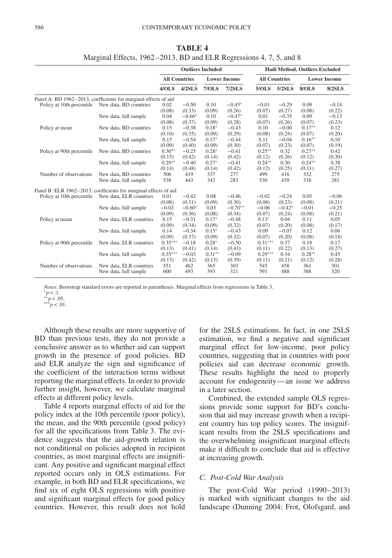|                                                                  |                                                                 |                      |          | <b>Outliers Included</b> |                     |                      |          | Hadi Method, Outliers Excluded |                     |
|------------------------------------------------------------------|-----------------------------------------------------------------|----------------------|----------|--------------------------|---------------------|----------------------|----------|--------------------------------|---------------------|
|                                                                  |                                                                 | <b>All Countries</b> |          |                          | <b>Lower Income</b> | <b>All Countries</b> |          |                                | <b>Lower Income</b> |
|                                                                  |                                                                 | 4/OLS                | 4/2SLS   | 7/OLS                    | $7/2$ SLS           | 5/OLS                | 5/2SLS   | <b>8/OLS</b>                   | <b>8/2SLS</b>       |
|                                                                  | Panel A: BD 1962-2013, coefficients for marginal effects of aid |                      |          |                          |                     |                      |          |                                |                     |
| Policy at 10th percentile                                        | New data, BD countries                                          | 0.02                 | $-0.50$  | 0.10                     | $-0.45*$            | $-0.01$              | $-0.29$  | 0.09                           | $-0.14$             |
|                                                                  |                                                                 | (0.08)               | (0.33)   | (0.09)                   | (0.26)              | (0.07)               | (0.27)   | (0.08)                         | (0.22)              |
|                                                                  | New data, full sample                                           | 0.04                 | $-0.66*$ | 0.10                     | $-0.47*$            | 0.01                 | $-0.35$  | 0.09                           | $-0.13$             |
|                                                                  |                                                                 | (0.08)               | (0.37)   | (0.09)                   | (0.28)              | (0.07)               | (0.26)   | (0.07)                         | (0.23)              |
| Policy at mean                                                   | New data, BD countries                                          | 0.15                 | $-0.38$  | $0.18*$                  | $-0.43$             | 0.10                 | $-0.00$  | $0.17**$                       | 0.12                |
|                                                                  |                                                                 | (0.10)               | (0.35)   | (0.09)                   | (0.29)              | (0.08)               | (0.24)   | (0.07)                         | (0.20)              |
|                                                                  | New data, full sample                                           | 0.15                 | $-0.54$  | $0.17*$                  | $-0.44$             | 0.11                 | $-0.04$  | $0.16**$                       | 0.10                |
|                                                                  |                                                                 | (0.09)               | (0.40)   | (0.09)                   | (0.30)              | (0.07)               | (0.23)   | (0.07)                         | (0.19)              |
| Policy at 90th percentile                                        | New data, BD countries                                          | $0.30**$             | $-0.25$  | $0.28*$                  | $-0.41$             | $0.25***$            | 0.32     | $0.27**$                       | 0.42                |
|                                                                  |                                                                 | (0.15)               | (0.42)   | (0.14)                   | (0.42)              | (0.12)               | (0.26)   | (0.12)                         | (0.30)              |
|                                                                  | New data, full sample                                           | $0.29**$             | $-0.40$  | $0.27*$                  | $-0.41$             | $0.24**$             | 0.30     | $0.24**$                       | 0.38                |
|                                                                  |                                                                 | (0.14)               | (0.48)   | (0.14)                   | (0.42)              | (0.12)               | (0.25)   | (0.11)                         | (0.27)              |
| Number of observations                                           | New data, BD countries                                          | 506                  | 419      | 337                      | 277                 | 499                  | 416      | 332                            | 275                 |
|                                                                  | New data, full sample                                           | 538                  | 443      | 343                      | 283                 | 530                  | 439      | 338                            | 281                 |
| Panel B: ELR 1962-2013, coefficients for marginal effects of aid |                                                                 |                      |          |                          |                     |                      |          |                                |                     |
| Policy at 10th percentile                                        | New data, ELR countries                                         | 0.01                 | $-0.42$  | 0.08                     | $-0.46$             | $-0.02$              | $-0.24$  | 0.05                           | $-0.06$             |
|                                                                  |                                                                 | (0.08)               | (0.31)   | (0.09)                   | (0.30)              | (0.08)               | (0.23)   | (0.08)                         | (0.21)              |
|                                                                  | New data, full sample                                           | $-0.02$              | $-0.60*$ | 0.03                     | $-0.70**$           | $-0.06$              | $-0.42*$ | $-0.01$                        | $-0.25$             |
|                                                                  |                                                                 | (0.09)               | (0.36)   | (0.08)                   | (0.34)              | (0.07)               | (0.24)   | (0.08)                         | (0.21)              |
| Policy at mean                                                   | New data, ELR countries                                         | 0.15                 | $-0.31$  | $0.17*$                  | $-0.48$             | $0.13*$              | 0.04     | 0.11                           | 0.05                |
|                                                                  |                                                                 | (0.09)               | (0.34)   | (0.09)                   | (0.32)              | (0.07)               | (0.20)   | (0.08)                         | (0.17)              |
|                                                                  | New data, full sample                                           | 0.14                 | $-0.34$  | $0.15*$                  | $-0.43$             | 0.09                 | $-0.07$  | 0.12                           | 0.06                |
|                                                                  |                                                                 | (0.09)               | (0.37)   | (0.09)                   | (0.32)              | (0.07)               | (0.20)   | (0.08)                         | (0.18)              |
| Policy at 90th percentile                                        | New data, ELR countries                                         | $0.35***$            | $-0.18$  | $0.28*$                  | $-0.50$             | $0.31***$            | 0.37     | 0.18                           | 0.17                |
|                                                                  |                                                                 | (0.13)               | (0.41)   | (0.14)                   | (0.43)              | (0.11)               | (0.22)   | (0.13)                         | (0.27)              |
|                                                                  | New data, full sample                                           | $0.35***$            | $-0.03$  | $0.31**$                 | $-0.09$             | $0.29***$            | 0.34     | $0.28**$                       | 0.45                |
|                                                                  |                                                                 | (0.13)               | (0.42)   | (0.13)                   | (0.39)              | (0.11)               | (0.21)   | (0.12)                         | (0.28)              |
| Number of observations                                           | New data, ELR countries                                         | 551                  | 462      | 365                      | 303                 | 545                  | 458      | 361                            | 301                 |
|                                                                  | New data, full sample                                           | 600                  | 493      | 393                      | 321                 | 591                  | 488      | 388                            | 320                 |

**TABLE 4** Marginal Effects, 1962–2013, BD and ELR Regressions 4, 7, 5, and 8

*Notes:* Bootstrap standard errors are reported in parentheses. Marginal effects from regressions in Table 3. *<sup>∗∗</sup>p* < .05. <br>*\**\**p* < .05. *∗* ∗*p* < .01.

Although these results are more supportive of BD than previous tests, they do not provide a conclusive answer as to whether aid can support growth in the presence of good policies. BD and ELR analyze the sign and significance of the coefficient of the interaction terms without reporting the marginal effects. In order to provide further insight, however, we calculate marginal effects at different policy levels.

Table 4 reports marginal effects of aid for the policy index at the 10th percentile (poor policy), the mean, and the 90th percentile (good policy) for all the specifications from Table 3. The evidence suggests that the aid-growth relation is not conditional on policies adopted in recipient countries, as most marginal effects are insignificant. Any positive and significant marginal effect reported occurs only in OLS estimations. For example, in both BD and ELR specifications, we find six of eight OLS regressions with positive and significant marginal effects for good policy countries. However, this result does not hold for the 2SLS estimations. In fact, in one 2SLS estimation, we find a negative and significant marginal effect for low-income, poor policy countries, suggesting that in countries with poor policies aid can decrease economic growth. These results highlight the need to properly account for endogeneity—an issue we address in a later section.

Combined, the extended sample OLS regressions provide some support for BD's conclusion that aid may increase growth when a recipient country has top policy scores. The insignificant results from the 2SLS specifications and the overwhelming insignificant marginal effects make it difficult to conclude that aid is effective at increasing growth.

#### *C. Post-Cold War Analysis*

The post-Cold War period (1990–2013) is marked with significant changes to the aid landscape (Dunning 2004; Frot, Olofsgard, and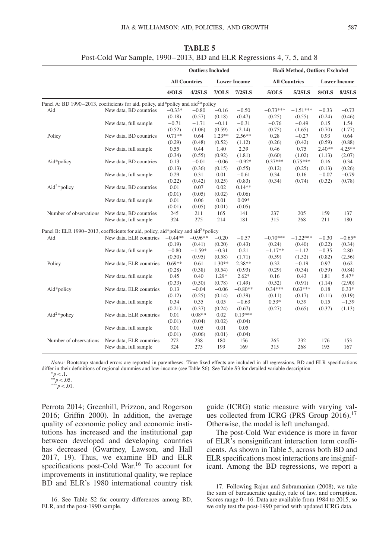|                                           |                                                                                               |           | <b>Outliers Included</b> |          |                     | Hadi Method, Outliers Excluded |                      |          |                     |  |  |
|-------------------------------------------|-----------------------------------------------------------------------------------------------|-----------|--------------------------|----------|---------------------|--------------------------------|----------------------|----------|---------------------|--|--|
|                                           |                                                                                               |           | <b>All Countries</b>     |          | <b>Lower Income</b> |                                | <b>All Countries</b> |          | <b>Lower Income</b> |  |  |
|                                           |                                                                                               | 4/OLS     | 4/2SLS                   | 7/OLS    | $7/2$ SLS           | 5/OLS                          | 5/2SLS               | 8/OLS    | 8/2SLS              |  |  |
|                                           | Panel A: BD 1990-2013, coefficients for aid, policy, aid*policy and aid <sup>2*</sup> policy  |           |                          |          |                     |                                |                      |          |                     |  |  |
| Aid                                       | New data, BD countries                                                                        | $-0.33*$  | $-0.80$                  | $-0.16$  | $-0.50$             | $-0.73***$                     | $-1.51***$           | $-0.33$  | $-0.73$             |  |  |
|                                           |                                                                                               | (0.18)    | (0.57)                   | (0.18)   | (0.47)              | (0.25)                         | (0.55)               | (0.24)   | (0.46)              |  |  |
|                                           | New data, full sample                                                                         | $-0.71$   | $-1.71$                  | $-0.11$  | $-0.31$             | $-0.76$                        | $-0.49$              | 0.15     | 1.54                |  |  |
|                                           |                                                                                               | (0.52)    | (1.06)                   | (0.59)   | (2.14)              | (0.75)                         | (1.65)               | (0.70)   | (1.77)              |  |  |
| Policy                                    | New data, BD countries                                                                        | $0.71**$  | 0.64                     | $1.23**$ | $2.56**$            | 0.28                           | $-0.27$              | 0.93     | 0.64                |  |  |
|                                           |                                                                                               | (0.29)    | (0.48)                   | (0.52)   | (1.12)              | (0.26)                         | (0.42)               | (0.59)   | (0.88)              |  |  |
|                                           | New data, full sample                                                                         | 0.55      | 0.44                     | 1.40     | 2.39                | 0.46                           | 0.75                 | $2.40**$ | $4.25**$            |  |  |
|                                           |                                                                                               | (0.34)    | (0.55)                   | (0.92)   | (1.81)              | (0.60)                         | (1.02)               | (1.13)   | (2.07)              |  |  |
| Aid*policy                                | New data, BD countries                                                                        | 0.13      | $-0.01$                  | $-0.06$  | $-0.92*$            | $0.37***$                      | $0.75***$            | 0.16     | 0.34                |  |  |
|                                           |                                                                                               | (0.13)    | (0.36)                   | (0.15)   | (0.55)              | (0.12)                         | (0.25)               | (0.13)   | (0.26)              |  |  |
|                                           | New data, full sample                                                                         | 0.29      | 0.31                     | 0.01     | $-0.61$             | 0.34                           | 0.16                 | $-0.07$  | $-0.79$             |  |  |
|                                           |                                                                                               | (0.22)    | (0.42)                   | (0.25)   | (0.83)              | (0.34)                         | (0.74)               | (0.32)   | (0.78)              |  |  |
|                                           | New data, BD countries                                                                        | 0.01      | 0.07                     | 0.02     | $0.14**$            |                                |                      |          |                     |  |  |
| $Aid2 * policy$<br>Number of observations |                                                                                               | (0.01)    | (0.05)                   | (0.02)   | (0.06)              |                                |                      |          |                     |  |  |
|                                           | New data, full sample                                                                         | 0.01      | 0.06                     | 0.01     | $0.09*$             |                                |                      |          |                     |  |  |
|                                           |                                                                                               | (0.01)    | (0.05)                   | (0.01)   | (0.05)              |                                |                      |          |                     |  |  |
|                                           | New data, BD countries                                                                        | 245       | 211                      | 165      | 141                 | 237                            | 205                  | 159      | 137                 |  |  |
|                                           | New data, full sample                                                                         | 324       | 275                      | 214      | 181                 | 315                            | 268                  | 211      | 180                 |  |  |
|                                           | Panel B: ELR 1990–2013, coefficients for aid, policy, aid*policy and aid <sup>2*</sup> policy |           |                          |          |                     |                                |                      |          |                     |  |  |
| Aid                                       | New data, ELR countries                                                                       | $-0.44**$ | $-0.96**$                | $-0.20$  | $-0.57$             | $-0.70***$                     | $-1.22***$           | $-0.30$  | $-0.65*$            |  |  |
|                                           |                                                                                               | (0.19)    | (0.41)                   | (0.20)   | (0.43)              | (0.24)                         | (0.40)               | (0.22)   | (0.34)              |  |  |
|                                           | New data, full sample                                                                         | $-0.80$   | $-1.59*$                 | $-0.31$  | 0.21                | $-1.17**$                      | $-1.12$              | $-0.35$  | 2.80                |  |  |
|                                           |                                                                                               | (0.50)    | (0.95)                   | (0.58)   | (1.71)              | (0.59)                         | (1.52)               | (0.82)   | (2.56)              |  |  |
| Policy                                    | New data, ELR countries                                                                       | $0.69**$  | 0.61                     | $1.30**$ | 2.38**              | 0.32                           | $-0.19$              | 0.97     | 0.62                |  |  |
|                                           |                                                                                               | (0.28)    | (0.38)                   | (0.54)   | (0.93)              | (0.29)                         | (0.34)               | (0.59)   | (0.84)              |  |  |
|                                           | New data, full sample                                                                         | 0.45      | 0.40                     | $1.29*$  | $2.62*$             | 0.16                           | 0.43                 | 1.81     | 5.47*               |  |  |
|                                           |                                                                                               | (0.33)    | (0.50)                   | (0.78)   | (1.49)              | (0.52)                         | (0.91)               | (1.14)   | (2.90)              |  |  |
| Aid*policy                                | New data, ELR countries                                                                       | 0.13      | $-0.04$                  | $-0.06$  | $-0.80**$           | $0.34***$                      | $0.63***$            | 0.18     | $0.33*$             |  |  |
|                                           |                                                                                               | (0.12)    | (0.25)                   | (0.14)   | (0.39)              | (0.11)                         | (0.17)               | (0.11)   | (0.19)              |  |  |
|                                           |                                                                                               | 0.34      | 0.35                     | 0.05     | $-0.63$             | $0.53*$                        | 0.39                 | 0.15     | $-1.39$             |  |  |
|                                           | New data, full sample                                                                         |           |                          |          |                     |                                |                      |          |                     |  |  |
|                                           |                                                                                               | (0.21)    | (0.37)<br>$0.08**$       | (0.24)   | (0.67)<br>$0.13***$ | (0.27)                         | (0.65)               | (0.37)   | (1.13)              |  |  |
| Aid <sup>2</sup> *policy                  | New data, ELR countries                                                                       | 0.01      |                          | 0.02     |                     |                                |                      |          |                     |  |  |
|                                           |                                                                                               | (0.01)    | (0.04)                   | (0.02)   | (0.04)              |                                |                      |          |                     |  |  |
|                                           | New data, full sample                                                                         | 0.01      | 0.05                     | 0.01     | 0.05                |                                |                      |          |                     |  |  |
|                                           |                                                                                               | (0.01)    | (0.06)                   | (0.01)   | (0.04)              |                                |                      |          |                     |  |  |
| Number of observations                    | New data, ELR countries                                                                       | 272       | 238                      | 180      | 156                 | 265                            | 232                  | 176      | 153                 |  |  |
|                                           | New data, full sample                                                                         | 324       | 275                      | 199      | 169                 | 315                            | 268                  | 195      | 167                 |  |  |

**TABLE 5** Post-Cold War Sample, 1990–2013, BD and ELR Regressions 4, 7, 5, and 8

*Notes:* Bootstrap standard errors are reported in parentheses. Time fixed effects are included in all regressions. BD and ELR specifications differ in their definitions of regional dummies and low-income (see Table S6). See Table S3 for detailed variable description. <sup>∗</sup>*p<*.1. ∗∗*p<*.05. ∗∗∗*p<*.01.

Perrota 2014; Greenhill, Prizzon, and Rogerson 2016; Griffin 2000). In addition, the average quality of economic policy and economic institutions has increased and the institutional gap between developed and developing countries has decreased (Gwartney, Lawson, and Hall 2017, 19). Thus, we examine BD and ELR specifications post-Cold War.<sup>16</sup> To account for improvements in institutional quality, we replace BD and ELR's 1980 international country risk

<span id="page-10-0"></span>16. See Table S2 for country differences among BD, ELR, and the post-1990 sample.

guide (ICRG) static measure with varying val-ues collected from ICRG (PRS Group 2016).<sup>[17](#page-10-1)</sup> Otherwise, the model is left unchanged.

The post-Cold War evidence is more in favor of ELR's nonsignificant interaction term coefficients. As shown in Table 5, across both BD and ELR specifications most interactions are insignificant. Among the BD regressions, we report a

<span id="page-10-1"></span>17. Following Rajan and Subramanian (2008), we take the sum of bureaucratic quality, rule of law, and corruption. Scores range 0–16. Data are available from 1984 to 2015, so we only test the post-1990 period with updated ICRG data.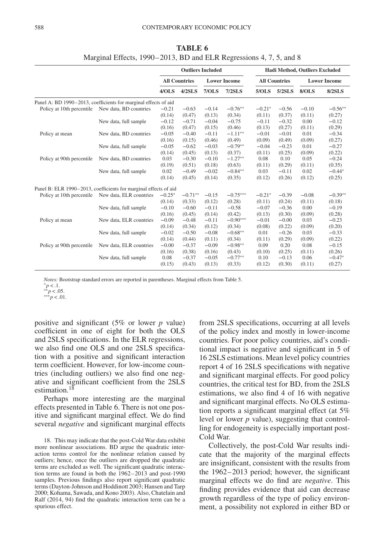|                                                                  |                                                                 | <b>Outliers Included</b><br><b>All Countries</b><br><b>Lower Income</b><br>4/OLS<br>$4/2$ SLS<br>7/OLS<br>$-0.21$<br>$-0.63$<br>$-0.14$<br>(0.13)<br>(0.14)<br>(0.47)<br>$-0.04$<br>$-0.12$<br>$-0.71$<br>(0.16)<br>(0.47)<br>(0.15)<br>$-0.05$<br>$-0.11$<br>$-0.40$<br>(0.16)<br>(0.15)<br>(0.46)<br>$-0.05$<br>$-0.03$<br>$-0.62$<br>(0.45)<br>(0.13)<br>(0.14)<br>0.03<br>$-0.30$<br>$-0.10$<br>(0.18)<br>(0.19)<br>(0.51)<br>0.02<br>$-0.49$<br>$-0.02$<br>(0.45)<br>(0.14)<br>(0.14)<br>$-0.25*$<br>$-0.71**$<br>$-0.15$<br>(0.33)<br>(0.12)<br>(0.14)<br>$-0.10$<br>$-0.60$<br>$-0.11$<br>(0.14)<br>(0.16)<br>(0.45)<br>$-0.09$<br>$-0.48$<br>$-0.11$<br>(0.34)<br>(0.12)<br>(0.14)<br>$-0.02$<br>$-0.50$<br>$-0.08$ |         |         |            | Hadi Method, Outliers Excluded |                                                                                                                                                                                                                                                                                                                                                                  |         |               |
|------------------------------------------------------------------|-----------------------------------------------------------------|-----------------------------------------------------------------------------------------------------------------------------------------------------------------------------------------------------------------------------------------------------------------------------------------------------------------------------------------------------------------------------------------------------------------------------------------------------------------------------------------------------------------------------------------------------------------------------------------------------------------------------------------------------------------------------------------------------------------------------|---------|---------|------------|--------------------------------|------------------------------------------------------------------------------------------------------------------------------------------------------------------------------------------------------------------------------------------------------------------------------------------------------------------------------------------------------------------|---------|---------------|
|                                                                  |                                                                 |                                                                                                                                                                                                                                                                                                                                                                                                                                                                                                                                                                                                                                                                                                                             |         |         |            |                                |                                                                                                                                                                                                                                                                                                                                                                  |         |               |
|                                                                  |                                                                 |                                                                                                                                                                                                                                                                                                                                                                                                                                                                                                                                                                                                                                                                                                                             |         |         | $7/2$ SLS  | 5/OLS                          | 5/2SLS                                                                                                                                                                                                                                                                                                                                                           | 8/OLS   | <b>8/2SLS</b> |
|                                                                  | Panel A: BD 1990–2013, coefficients for marginal effects of aid |                                                                                                                                                                                                                                                                                                                                                                                                                                                                                                                                                                                                                                                                                                                             |         |         |            |                                |                                                                                                                                                                                                                                                                                                                                                                  |         |               |
| Policy at 10th percentile                                        | New data, BD countries                                          |                                                                                                                                                                                                                                                                                                                                                                                                                                                                                                                                                                                                                                                                                                                             |         |         | $-0.76**$  | $-0.21*$                       | $-0.56$                                                                                                                                                                                                                                                                                                                                                          | $-0.10$ | $-0.56**$     |
|                                                                  |                                                                 |                                                                                                                                                                                                                                                                                                                                                                                                                                                                                                                                                                                                                                                                                                                             |         |         | (0.34)     | (0.11)                         | (0.37)                                                                                                                                                                                                                                                                                                                                                           | (0.11)  | (0.27)        |
|                                                                  | New data, full sample                                           |                                                                                                                                                                                                                                                                                                                                                                                                                                                                                                                                                                                                                                                                                                                             |         |         | $-0.75$    | $-0.11$                        | $-0.32$                                                                                                                                                                                                                                                                                                                                                          | 0.00    | $-0.12$       |
|                                                                  |                                                                 |                                                                                                                                                                                                                                                                                                                                                                                                                                                                                                                                                                                                                                                                                                                             |         |         | (0.46)     | (0.13)                         | (0.27)                                                                                                                                                                                                                                                                                                                                                           | (0.11)  | (0.29)        |
| Policy at mean                                                   | New data, BD countries                                          |                                                                                                                                                                                                                                                                                                                                                                                                                                                                                                                                                                                                                                                                                                                             |         |         | $-1.11***$ | $-0.01$                        | $-0.01$                                                                                                                                                                                                                                                                                                                                                          | 0.01    | $-0.34$       |
|                                                                  |                                                                 |                                                                                                                                                                                                                                                                                                                                                                                                                                                                                                                                                                                                                                                                                                                             |         |         | (0.49)     | (0.09)                         | (0.49)                                                                                                                                                                                                                                                                                                                                                           | (0.09)  | (0.27)        |
|                                                                  | New data, full sample                                           |                                                                                                                                                                                                                                                                                                                                                                                                                                                                                                                                                                                                                                                                                                                             |         |         | $-0.79**$  | $-0.04$                        | $-0.23$                                                                                                                                                                                                                                                                                                                                                          | 0.01    | $-0.27$       |
|                                                                  |                                                                 |                                                                                                                                                                                                                                                                                                                                                                                                                                                                                                                                                                                                                                                                                                                             |         |         | (0.37)     | (0.11)                         | (0.25)                                                                                                                                                                                                                                                                                                                                                           | (0.09)  | (0.22)        |
| Policy at 90th percentile                                        | New data, BD countries                                          |                                                                                                                                                                                                                                                                                                                                                                                                                                                                                                                                                                                                                                                                                                                             |         |         | $-1.27**$  | 0.08                           | <b>All Countries</b><br><b>Lower Income</b><br>0.10<br>0.05<br>(0.11)<br>(0.29)<br>$-0.11$<br>0.02<br>(0.26)<br>(0.12)<br>$-0.39$<br>$-0.08$<br>(0.24)<br>(0.11)<br>$-0.36$<br>0.00<br>(0.30)<br>(0.09)<br>$-0.00$<br>0.03<br>(0.22)<br>(0.09)<br>$-0.26$<br>0.03<br>(0.29)<br>(0.09)<br>0.20<br>0.08<br>(0.25)<br>(0.11)<br>$-0.13$<br>0.06<br>(0.30)<br>(0.11) | $-0.24$ |               |
|                                                                  |                                                                 |                                                                                                                                                                                                                                                                                                                                                                                                                                                                                                                                                                                                                                                                                                                             |         |         | (0.63)     | (0.11)                         |                                                                                                                                                                                                                                                                                                                                                                  |         | (0.35)        |
|                                                                  | New data, full sample                                           |                                                                                                                                                                                                                                                                                                                                                                                                                                                                                                                                                                                                                                                                                                                             |         |         | $-0.84**$  | 0.03                           |                                                                                                                                                                                                                                                                                                                                                                  |         | $-0.44*$      |
|                                                                  |                                                                 |                                                                                                                                                                                                                                                                                                                                                                                                                                                                                                                                                                                                                                                                                                                             |         |         | (0.35)     | (0.12)                         |                                                                                                                                                                                                                                                                                                                                                                  |         | (0.25)        |
| Panel B: ELR 1990-2013, coefficients for marginal effects of aid |                                                                 |                                                                                                                                                                                                                                                                                                                                                                                                                                                                                                                                                                                                                                                                                                                             |         |         |            |                                |                                                                                                                                                                                                                                                                                                                                                                  |         |               |
| Policy at 10th percentile                                        | New data, ELR countries                                         |                                                                                                                                                                                                                                                                                                                                                                                                                                                                                                                                                                                                                                                                                                                             |         |         | $-0.75***$ | $-0.21*$                       |                                                                                                                                                                                                                                                                                                                                                                  |         | $-0.39**$     |
|                                                                  |                                                                 |                                                                                                                                                                                                                                                                                                                                                                                                                                                                                                                                                                                                                                                                                                                             |         |         | (0.28)     | (0.11)                         |                                                                                                                                                                                                                                                                                                                                                                  |         | (0.18)        |
|                                                                  | New data, full sample                                           |                                                                                                                                                                                                                                                                                                                                                                                                                                                                                                                                                                                                                                                                                                                             |         |         | $-0.58$    | $-0.07$                        |                                                                                                                                                                                                                                                                                                                                                                  |         | $-0.19$       |
|                                                                  |                                                                 |                                                                                                                                                                                                                                                                                                                                                                                                                                                                                                                                                                                                                                                                                                                             |         |         | (0.42)     | (0.13)                         |                                                                                                                                                                                                                                                                                                                                                                  |         | (0.28)        |
| Policy at mean                                                   | New data, ELR countries                                         |                                                                                                                                                                                                                                                                                                                                                                                                                                                                                                                                                                                                                                                                                                                             |         |         | $-0.90***$ | $-0.01$                        |                                                                                                                                                                                                                                                                                                                                                                  |         | $-0.23$       |
|                                                                  |                                                                 |                                                                                                                                                                                                                                                                                                                                                                                                                                                                                                                                                                                                                                                                                                                             |         |         | (0.34)     | (0.08)                         |                                                                                                                                                                                                                                                                                                                                                                  |         | (0.20)        |
|                                                                  | New data, full sample                                           |                                                                                                                                                                                                                                                                                                                                                                                                                                                                                                                                                                                                                                                                                                                             |         |         | $-0.68**$  | 0.01                           |                                                                                                                                                                                                                                                                                                                                                                  |         | $-0.33$       |
|                                                                  |                                                                 | (0.14)                                                                                                                                                                                                                                                                                                                                                                                                                                                                                                                                                                                                                                                                                                                      | (0.44)  | (0.11)  | (0.34)     | (0.11)                         |                                                                                                                                                                                                                                                                                                                                                                  |         | (0.22)        |
| Policy at 90th percentile                                        | New data, ELR countries                                         | $-0.00$                                                                                                                                                                                                                                                                                                                                                                                                                                                                                                                                                                                                                                                                                                                     | $-0.37$ | $-0.09$ | $-0.98**$  | 0.09                           |                                                                                                                                                                                                                                                                                                                                                                  |         | $-0.15$       |
|                                                                  |                                                                 | (0.16)                                                                                                                                                                                                                                                                                                                                                                                                                                                                                                                                                                                                                                                                                                                      | (0.38)  | (0.16)  | (0.43)     | (0.10)                         |                                                                                                                                                                                                                                                                                                                                                                  |         | (0.26)        |
|                                                                  | New data, full sample                                           | 0.08                                                                                                                                                                                                                                                                                                                                                                                                                                                                                                                                                                                                                                                                                                                        | $-0.37$ | $-0.05$ | $-0.77**$  | 0.10                           |                                                                                                                                                                                                                                                                                                                                                                  |         | $-0.47*$      |
|                                                                  |                                                                 | (0.15)                                                                                                                                                                                                                                                                                                                                                                                                                                                                                                                                                                                                                                                                                                                      | (0.43)  | (0.13)  | (0.33)     | (0.12)                         |                                                                                                                                                                                                                                                                                                                                                                  |         | (0.27)        |
|                                                                  |                                                                 |                                                                                                                                                                                                                                                                                                                                                                                                                                                                                                                                                                                                                                                                                                                             |         |         |            |                                |                                                                                                                                                                                                                                                                                                                                                                  |         |               |

**TABLE 6** Marginal Effects, 1990–2013, BD and ELR Regressions 4, 7, 5, and 8

*Notes:* Bootstrap standard errors are reported in parentheses. Marginal effects from Table 5. <sup>*∗*</sup>*p* < .1. *←*<br>*∗∗p* < .05. *∗* 

positive and significant (5% or lower *p* value) coefficient in one of eight for both the OLS and 2SLS specifications. In the ELR regressions, we also find one OLS and one 2SLS specification with a positive and significant interaction term coefficient. However, for low-income countries (including outliers) we also find one negative and significant coefficient from the 2SLS estimation.<sup>[18](#page-11-0)</sup>

Perhaps more interesting are the marginal effects presented in Table 6. There is not one positive and significant marginal effect. We do find several *negative* and significant marginal effects from 2SLS specifications, occurring at all levels of the policy index and mostly in lower-income countries. For poor policy countries, aid's conditional impact is negative and significant in 5 of 16 2SLS estimations. Mean level policy countries report 4 of 16 2SLS specifications with negative and significant marginal effects. For good policy countries, the critical test for BD, from the 2SLS estimations, we also find 4 of 16 with negative and significant marginal effects. No OLS estimation reports a significant marginal effect (at 5% level or lower *p* value), suggesting that controlling for endogeneity is especially important post-Cold War.

Collectively, the post-Cold War results indicate that the majority of the marginal effects are insignificant, consistent with the results from the 1962–2013 period; however, the significant marginal effects we do find are *negative*. This finding provides evidence that aid can decrease growth regardless of the type of policy environment, a possibility not explored in either BD or

<span id="page-11-0"></span><sup>18.</sup> This may indicate that the post-Cold War data exhibit more nonlinear associations. BD argue the quadratic interaction terms control for the nonlinear relation caused by outliers; hence, once the outliers are dropped the quadratic terms are excluded as well. The significant quadratic interaction terms are found in both the 1962–2013 and post-1990 samples. Previous findings also report significant quadratic terms (Dayton-Johnson and Hoddinott 2003; Hansen and Tarp 2000; Kohama, Sawada, and Kono 2003). Also, Chatelain and Ralf (2014, 94) find the quadratic interaction term can be a spurious effect.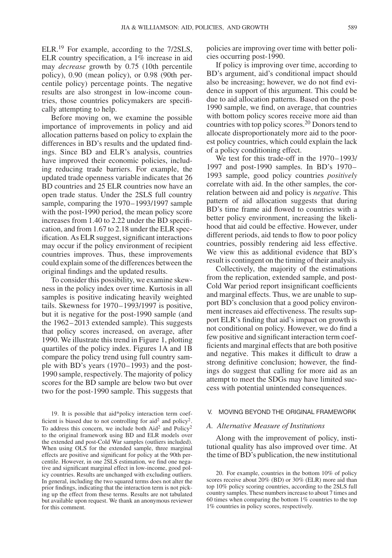ELR.<sup>[19](#page-12-0)</sup> For example, according to the 7/2SLS, ELR country specification, a 1% increase in aid may *decrease* growth by 0.75 (10th percentile policy), 0.90 (mean policy), or 0.98 (90th percentile policy) percentage points. The negative results are also strongest in low-income countries, those countries policymakers are specifically attempting to help.

Before moving on, we examine the possible importance of improvements in policy and aid allocation patterns based on policy to explain the differences in BD's results and the updated findings. Since BD and ELR's analysis, countries have improved their economic policies, including reducing trade barriers. For example, the updated trade openness variable indicates that 26 BD countries and 25 ELR countries now have an open trade status. Under the 2SLS full country sample, comparing the 1970–1993/1997 sample with the post-1990 period, the mean policy score increases from 1.40 to 2.22 under the BD specification, and from 1.67 to 2.18 under the ELR specification. As ELR suggest, significant interactions may occur if the policy environment of recipient countries improves. Thus, these improvements could explain some of the differences between the original findings and the updated results.

To consider this possibility, we examine skewness in the policy index over time. Kurtosis in all samples is positive indicating heavily weighted tails. Skewness for 1970–1993/1997 is positive, but it is negative for the post-1990 sample (and the 1962–2013 extended sample). This suggests that policy scores increased, on average, after 1990. We illustrate this trend in Figure 1, plotting quartiles of the policy index. Figures 1A and 1B compare the policy trend using full country sample with BD's years (1970–1993) and the post-1990 sample, respectively. The majority of policy scores for the BD sample are below two but over two for the post-1990 sample. This suggests that policies are improving over time with better policies occurring post-1990.

If policy is improving over time, according to BD's argument, aid's conditional impact should also be increasing; however, we do not find evidence in support of this argument. This could be due to aid allocation patterns. Based on the post-1990 sample, we find, on average, that countries with bottom policy scores receive more aid than countries with top policy scores[.20](#page-12-1) Donors tend to allocate disproportionately more aid to the poorest policy countries, which could explain the lack of a policy conditioning effect.

We test for this trade-off in the 1970–1993/ 1997 and post-1990 samples. In BD's 1970– 1993 sample, good policy countries *positively* correlate with aid. In the other samples, the correlation between aid and policy is *negative*. This pattern of aid allocation suggests that during BD's time frame aid flowed to countries with a better policy environment, increasing the likelihood that aid could be effective. However, under different periods, aid tends to flow to poor policy countries, possibly rendering aid less effective. We view this as additional evidence that BD's result is contingent on the timing of their analysis.

Collectively, the majority of the estimations from the replication, extended sample, and post-Cold War period report insignificant coefficients and marginal effects. Thus, we are unable to support BD's conclusion that a good policy environment increases aid effectiveness. The results support ELR's finding that aid's impact on growth is not conditional on policy. However, we do find a few positive and significant interaction term coefficients and marginal effects that are both positive and negative. This makes it difficult to draw a strong definitive conclusion; however, the findings do suggest that calling for more aid as an attempt to meet the SDGs may have limited success with potential unintended consequences.

#### V. MOVING BEYOND THE ORIGINAL FRAMEWORK

#### *A. Alternative Measure of Institutions*

Along with the improvement of policy, institutional quality has also improved over time. At the time of BD's publication, the new institutional

<span id="page-12-0"></span><sup>19.</sup> It is possible that aid\*policy interaction term coefficient is biased due to not controlling for aid<sup>2</sup> and policy<sup>2</sup>. To address this concern, we include both  $\text{Aid}^2$  and  $\text{Policy}^2$ to the original framework using BD and ELR models over the extended and post-Cold War samples (outliers included). When using OLS for the extended sample, three marginal effects are positive and significant for policy at the 90th percentile. However, in one 2SLS estimation, we find one negative and significant marginal effect in low-income, good policy countries. Results are unchanged with excluding outliers. In general, including the two squared terms does not alter the prior findings, indicating that the interaction term is not picking up the effect from these terms. Results are not tabulated but available upon request. We thank an anonymous reviewer for this comment.

<span id="page-12-1"></span><sup>20.</sup> For example, countries in the bottom 10% of policy scores receive about 20% (BD) or 30% (ELR) more aid than top 10% policy scoring countries, according to the 2SLS full country samples. These numbers increase to about 7 times and 60 times when comparing the bottom 1% countries to the top 1% countries in policy scores, respectively.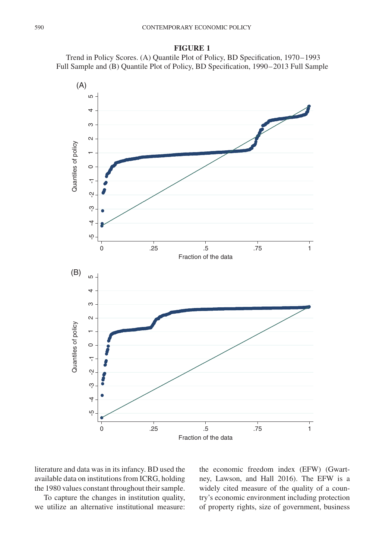

Trend in Policy Scores. (A) Quantile Plot of Policy, BD Specification, 1970–1993 Full Sample and (B) Quantile Plot of Policy, BD Specification, 1990–2013 Full Sample



literature and data was in its infancy. BD used the available data on institutions from ICRG, holding the 1980 values constant throughout their sample.

To capture the changes in institution quality, we utilize an alternative institutional measure:

the economic freedom index (EFW) (Gwartney, Lawson, and Hall 2016). The EFW is a widely cited measure of the quality of a country's economic environment including protection of property rights, size of government, business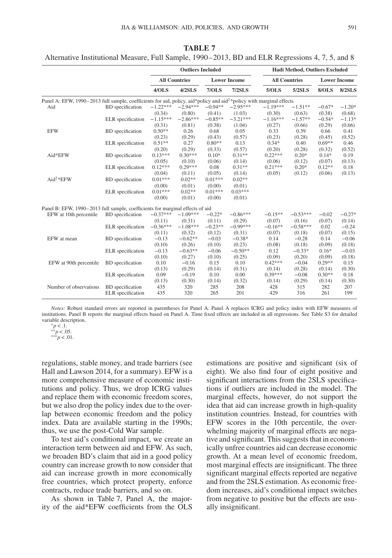|                                                                                                                                  |                         |            | <b>Outliers Included</b> |           |                     |            | Hadi Method, Outliers Excluded |          |                     |
|----------------------------------------------------------------------------------------------------------------------------------|-------------------------|------------|--------------------------|-----------|---------------------|------------|--------------------------------|----------|---------------------|
|                                                                                                                                  |                         |            | <b>All Countries</b>     |           | <b>Lower Income</b> |            | <b>All Countries</b>           |          | <b>Lower Income</b> |
|                                                                                                                                  |                         | 4/OLS      | $4/2$ SLS                | 7/OLS     | $7/2$ SLS           | 5/OLS      | 5/2SLS                         | 8/OLS    | <b>8/2SLS</b>       |
| Panel A: EFW, 1990–2013 full sample, coefficients for aid, policy, aid*policy and aid <sup>2*</sup> policy with marginal effects |                         |            |                          |           |                     |            |                                |          |                     |
| Aid                                                                                                                              | BD specification        | $-1.22***$ | $-2.94***$               | $-0.94**$ | $-2.95***$          | $-1.19***$ | $-1.51**$                      | $-0.67*$ | $-1.20*$            |
|                                                                                                                                  |                         | (0.34)     | (0.80)                   | (0.41)    | (1.03)              | (0.30)     | (0.63)                         | (0.38)   | (0.68)              |
|                                                                                                                                  | ELR specification       | $-1.15***$ | $-2.86***$               | $-0.85**$ | $-3.21***$          | $-1.16***$ | $-1.57**$                      | $-0.54*$ | $-1.13*$            |
|                                                                                                                                  |                         | (0.31)     | (0.81)                   | (0.38)    | (1.04)              | (0.27)     | (0.66)                         | (0.29)   | (0.66)              |
| <b>EFW</b>                                                                                                                       | <b>BD</b> specification | $0.50**$   | 0.26                     | 0.68      | 0.05                | 0.33       | 0.39                           | 0.66     | 0.41                |
|                                                                                                                                  |                         | (0.23)     | (0.29)                   | (0.43)    | (0.57)              | (0.23)     | (0.28)                         | (0.45)   | (0.52)              |
| Aid*EFW<br>Aid <sup>2*</sup> EFW                                                                                                 | ELR specification       | $0.51**$   | 0.27                     | $0.80**$  | 0.13                | $0.34*$    | 0.40                           | $0.69**$ | 0.46                |
|                                                                                                                                  |                         | (0.20)     | (0.29)                   | (0.33)    | (0.57)              | (0.20)     | (0.28)                         | (0.32)   | (0.52)              |
|                                                                                                                                  | <b>BD</b> specification | $0.13***$  | $0.30***$                | $0.10*$   | $0.31**$            | $0.22***$  | $0.20*$                        | $0.14*$  | 0.19                |
|                                                                                                                                  |                         | (0.05)     | (0.10)                   | (0.06)    | (0.14)              | (0.06)     | (0.12)                         | (0.07)   | (0.13)              |
|                                                                                                                                  | ELR specification       | $0.12***$  | $0.29***$                | 0.08      | $0.31**$            | $0.21***$  | $0.20*$                        | $0.12**$ | 0.18                |
|                                                                                                                                  |                         | (0.04)     | (0.11)                   | (0.05)    | (0.14)              | (0.05)     | (0.12)                         | (0.06)   | (0.13)              |
|                                                                                                                                  | <b>BD</b> specification | $0.01***$  | $0.02**$                 | $0.01***$ | $0.02**$            |            |                                |          |                     |
|                                                                                                                                  |                         | (0.00)     | (0.01)                   | (0.00)    | (0.01)              |            |                                |          |                     |
|                                                                                                                                  | ELR specification       | $0.01***$  | $0.02**$                 | $0.01***$ | $0.03***$           |            |                                |          |                     |
|                                                                                                                                  |                         | (0.00)     | (0.01)                   | (0.00)    | (0.01)              |            |                                |          |                     |
| Panel B: EFW, 1990–2013 full sample, coefficients for marginal effects of aid                                                    |                         |            |                          |           |                     |            |                                |          |                     |
| EFW at 10th percentile                                                                                                           | <b>BD</b> specification | $-0.37***$ | $-1.09***$               | $-0.22*$  | $-0.86***$          | $-0.15**$  | $-0.53***$                     | $-0.02$  | $-0.27*$            |
|                                                                                                                                  |                         | (0.11)     | (0.31)                   | (0.11)    | (0.29)              | (0.07)     | (0.16)                         | (0.07)   | (0.14)              |
|                                                                                                                                  | ELR specification       | $-0.36***$ | $-1.08***$               | $-0.23**$ | $-0.99***$          | $-0.16**$  | $-0.58***$                     | 0.02     | $-0.24$             |
|                                                                                                                                  |                         | (0.11)     | (0.32)                   | (0.12)    | (0.31)              | (0.07)     | (0.18)                         | (0.07)   | (0.15)              |
| EFW at mean                                                                                                                      | <b>BD</b> specification | $-0.13$    | $-0.62**$                | $-0.03$   | $-0.38*$            | 0.14       | $-0.28$                        | 0.14     | $-0.06$             |
|                                                                                                                                  |                         | (0.10)     | (0.26)                   | (0.10)    | (0.23)              | (0.08)     | (0.18)                         | (0.09)   | (0.18)              |
|                                                                                                                                  | ELR specification       | $-0.13$    | $-0.63**$                | $-0.06$   | $-0.50**$           | 0.12       | $-0.33*$                       | $0.16*$  | $-0.03$             |
|                                                                                                                                  |                         | (0.10)     | (0.27)                   | (0.10)    | (0.25)              | (0.09)     | (0.20)                         | (0.09)   | (0.18)              |
| EFW at 90th percentile                                                                                                           | <b>BD</b> specification | 0.10       | $-0.16$                  | 0.15      | 0.10                | $0.42***$  | $-0.04$                        | $0.29**$ | 0.15                |
|                                                                                                                                  |                         | (0.13)     | (0.29)                   | (0.14)    | (0.31)              | (0.14)     | (0.28)                         | (0.14)   | (0.30)              |
|                                                                                                                                  | ELR specification       | 0.09       | $-0.19$                  | 0.10      | 0.00                | $0.39***$  | $-0.08$                        | $0.30**$ | 0.18                |
|                                                                                                                                  |                         | (0.13)     | (0.30)                   | (0.14)    | (0.32)              | (0.14)     | (0.29)                         | (0.14)   | (0.30)              |
| Number of observations                                                                                                           | <b>BD</b> specification | 435        | 320                      | 285       | 208                 | 428        | 315                            | 282      | 207                 |
|                                                                                                                                  | ELR specification       | 435        | 320                      | 265       | 201                 | 429        | 316                            | 261      | 199                 |
|                                                                                                                                  |                         |            |                          |           |                     |            |                                |          |                     |

**TABLE 7** Alternative Institutional Measure, Full Sample, 1990–2013, BD and ELR Regressions 4, 7, 5, and 8

*Notes:* Robust standard errors are reported in parentheses for Panel A. Panel A replaces ICRG and policy index with EFW measures of institutions. Panel B reports the marginal effects based on Panel A. Time fixed effects are included in all regressions. See Table S3 for detailed

regulations, stable money, and trade barriers (see Hall and Lawson 2014, for a summary). EFW is a more comprehensive measure of economic institutions and policy. Thus, we drop ICRG values and replace them with economic freedom scores, but we also drop the policy index due to the overlap between economic freedom and the policy index. Data are available starting in the 1990s; thus, we use the post-Cold War sample.

To test aid's conditional impact, we create an interaction term between aid and EFW. As such, we broaden BD's claim that aid in a good policy country can increase growth to now consider that aid can increase growth in more economically free countries, which protect property, enforce contracts, reduce trade barriers, and so on.

As shown in Table 7, Panel A, the majority of the aid\*EFW coefficients from the OLS estimations are positive and significant (six of eight). We also find four of eight positive and significant interactions from the 2SLS specifications if outliers are included in the model. The marginal effects, however, do not support the idea that aid can increase growth in high-quality institution countries. Instead, for countries with EFW scores in the 10th percentile, the overwhelming majority of marginal effects are negative and significant. This suggests that in economically unfree countries aid can decrease economic growth. At a mean level of economic freedom, most marginal effects are insignificant. The three significant marginal effects reported are negative and from the 2SLS estimation. As economic freedom increases, aid's conditional impact switches from negative to positive but the effects are usually insignificant.

variable description. <sup>∗</sup>*p<*.1. ∗∗*p<*.05. ∗∗∗*p<*.01.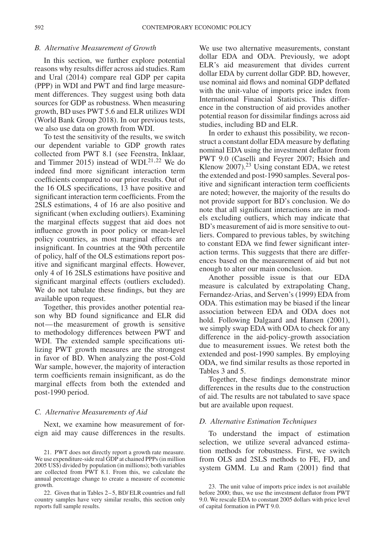#### *B. Alternative Measurement of Growth*

In this section, we further explore potential reasons why results differ across aid studies. Ram and Ural (2014) compare real GDP per capita (PPP) in WDI and PWT and find large measurement differences. They suggest using both data sources for GDP as robustness. When measuring growth, BD uses PWT 5.6 and ELR utilizes WDI (World Bank Group 2018). In our previous tests, we also use data on growth from WDI.

To test the sensitivity of the results, we switch our dependent variable to GDP growth rates collected from PWT 8.1 (see Feenstra, Inklaar, and Timmer 2015) instead of WDI. $21,22$  $21,22$  We do indeed find more significant interaction term coefficients compared to our prior results. Out of the 16 OLS specifications, 13 have positive and significant interaction term coefficients. From the 2SLS estimations, 4 of 16 are also positive and significant (when excluding outliers). Examining the marginal effects suggest that aid does not influence growth in poor policy or mean-level policy countries, as most marginal effects are insignificant. In countries at the 90th percentile of policy, half of the OLS estimations report positive and significant marginal effects. However, only 4 of 16 2SLS estimations have positive and significant marginal effects (outliers excluded). We do not tabulate these findings, but they are available upon request.

Together, this provides another potential reason why BD found significance and ELR did not—the measurement of growth is sensitive to methodology differences between PWT and WDI. The extended sample specifications utilizing PWT growth measures are the strongest in favor of BD. When analyzing the post-Cold War sample, however, the majority of interaction term coefficients remain insignificant, as do the marginal effects from both the extended and post-1990 period.

#### *C. Alternative Measurements of Aid*

Next, we examine how measurement of foreign aid may cause differences in the results.

We use two alternative measurements, constant dollar EDA and ODA. Previously, we adopt ELR's aid measurement that divides current dollar EDA by current dollar GDP. BD, however, use nominal aid flows and nominal GDP deflated with the unit-value of imports price index from International Financial Statistics. This difference in the construction of aid provides another potential reason for dissimilar findings across aid studies, including BD and ELR.

In order to exhaust this possibility, we reconstruct a constant dollar EDA measure by deflating nominal EDA using the investment deflator from PWT 9.0 (Caselli and Feyrer 2007; Hsieh and Klenow 2007). $2<sup>3</sup>$  Using constant EDA, we retest the extended and post-1990 samples. Several positive and significant interaction term coefficients are noted; however, the majority of the results do not provide support for BD's conclusion. We do note that all significant interactions are in models excluding outliers, which may indicate that BD's measurement of aid is more sensitive to outliers. Compared to previous tables, by switching to constant EDA we find fewer significant interaction terms. This suggests that there are differences based on the measurement of aid but not enough to alter our main conclusion.

Another possible issue is that our EDA measure is calculated by extrapolating Chang, Fernandez-Arias, and Serven's (1999) EDA from ODA. This estimation may be biased if the linear association between EDA and ODA does not hold. Following Dalgaard and Hansen (2001), we simply swap EDA with ODA to check for any difference in the aid-policy-growth association due to measurement issues. We retest both the extended and post-1990 samples. By employing ODA, we find similar results as those reported in Tables 3 and 5.

Together, these findings demonstrate minor differences in the results due to the construction of aid. The results are not tabulated to save space but are available upon request.

#### *D. Alternative Estimation Techniques*

To understand the impact of estimation selection, we utilize several advanced estimation methods for robustness. First, we switch from OLS and 2SLS methods to FE, FD, and system GMM. Lu and Ram (2001) find that

<span id="page-15-0"></span><sup>21.</sup> PWT does not directly report a growth rate measure. We use expenditure-side real GDP at chained PPPs (in million 2005 US\$) divided by population (in millions); both variables are collected from PWT 8.1. From this, we calculate the annual percentage change to create a measure of economic growth.

<span id="page-15-1"></span><sup>22.</sup> Given that in Tables 2–5, BD/ ELR countries and full country samples have very similar results, this section only reports full sample results.

<span id="page-15-2"></span><sup>23.</sup> The unit value of imports price index is not available before 2000; thus, we use the investment deflator from PWT 9.0. We rescale EDA to constant 2005 dollars with price level of capital formation in PWT 9.0.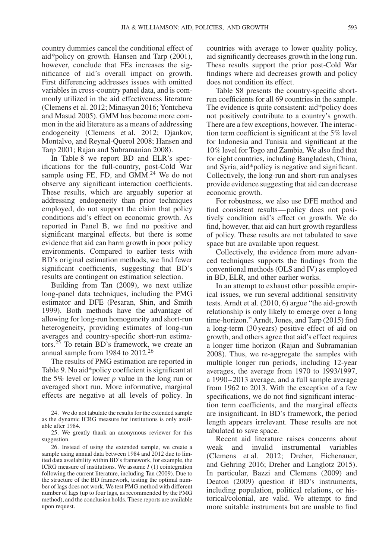country dummies cancel the conditional effect of aid\*policy on growth. Hansen and Tarp (2001), however, conclude that FEs increases the significance of aid's overall impact on growth. First differencing addresses issues with omitted variables in cross-country panel data, and is commonly utilized in the aid effectiveness literature (Clemens et al. 2012; Minasyan 2016; Yontcheva and Masud 2005). GMM has become more common in the aid literature as a means of addressing endogeneity (Clemens et al. 2012; Djankov, Montalvo, and Reynal-Querol 2008; Hansen and Tarp 2001; Rajan and Subramanian 2008).

In Table 8 we report BD and ELR's specifications for the full-country, post-Cold War sample using FE, FD, and  $GMM<sup>24</sup>$  $GMM<sup>24</sup>$  $GMM<sup>24</sup>$  We do not observe any significant interaction coefficients. These results, which are arguably superior at addressing endogeneity than prior techniques employed, do not support the claim that policy conditions aid's effect on economic growth. As reported in Panel B, we find no positive and significant marginal effects, but there is some evidence that aid can harm growth in poor policy environments. Compared to earlier tests with BD's original estimation methods, we find fewer significant coefficients, suggesting that BD's results are contingent on estimation selection.

Building from Tan (2009), we next utilize long-panel data techniques, including the PMG estimator and DFE (Pesaran, Shin, and Smith 1999). Both methods have the advantage of allowing for long-run homogeneity and short-run heterogeneity, providing estimates of long-run averages and country-specific short-run estimators.[25](#page-16-1) To retain BD's framework, we create an annual sample from 1984 to 2012[.26](#page-16-2)

The results of PMG estimation are reported in Table 9. No aid\*policy coefficient is significant at the 5% level or lower *p* value in the long run or averaged short run. More informative, marginal effects are negative at all levels of policy. In countries with average to lower quality policy, aid significantly decreases growth in the long run. These results support the prior post-Cold War findings where aid decreases growth and policy does not condition its effect.

Table S8 presents the country-specific shortrun coefficients for all 69 countries in the sample. The evidence is quite consistent: aid\*policy does not positively contribute to a country's growth. There are a few exceptions, however. The interaction term coefficient is significant at the 5% level for Indonesia and Tunisia and significant at the 10% level for Togo and Zambia. We also find that for eight countries, including Bangladesh, China, and Syria, aid\*policy is negative and significant. Collectively, the long-run and short-run analyses provide evidence suggesting that aid can decrease economic growth.

For robustness, we also use DFE method and find consistent results—policy does not positively condition aid's effect on growth. We do find, however, that aid can hurt growth regardless of policy. These results are not tabulated to save space but are available upon request.

Collectively, the evidence from more advanced techniques supports the findings from the conventional methods (OLS and IV) as employed in BD, ELR, and other earlier works.

In an attempt to exhaust other possible empirical issues, we run several additional sensitivity tests. Arndt et al. (2010, 6) argue "the aid-growth relationship is only likely to emerge over a long time-horizon." Arndt, Jones, and Tarp (2015) find a long-term (30 years) positive effect of aid on growth, and others agree that aid's effect requires a longer time horizon (Rajan and Subramanian 2008). Thus, we re-aggregate the samples with multiple longer run periods, including 12-year averages, the average from 1970 to 1993/1997, a 1990–2013 average, and a full sample average from 1962 to 2013. With the exception of a few specifications, we do not find significant interaction term coefficients, and the marginal effects are insignificant. In BD's framework, the period length appears irrelevant. These results are not tabulated to save space.

Recent aid literature raises concerns about weak and invalid instrumental variables (Clemens et al. 2012; Dreher, Eichenauer, and Gehring 2016; Dreher and Langlotz 2015). In particular, Bazzi and Clemens (2009) and Deaton (2009) question if BD's instruments, including population, political relations, or historical/colonial, are valid. We attempt to find more suitable instruments but are unable to find

<span id="page-16-0"></span><sup>24.</sup> We do not tabulate the results for the extended sample as the dynamic ICRG measure for institutions is only available after 1984.

<span id="page-16-1"></span><sup>25.</sup> We greatly thank an anonymous reviewer for this suggestion.

<span id="page-16-2"></span><sup>26.</sup> Instead of using the extended sample, we create a sample using annual data between 1984 and 2012 due to limited data availability within BD's framework, for example, the ICRG measure of institutions. We assume *I* (1) cointegration following the current literature, including Tan (2009). Due to the structure of the BD framework, testing the optimal number of lags does not work. We test PMG method with different number of lags (up to four lags, as recommended by the PMG method), and the conclusion holds. These reports are available upon request.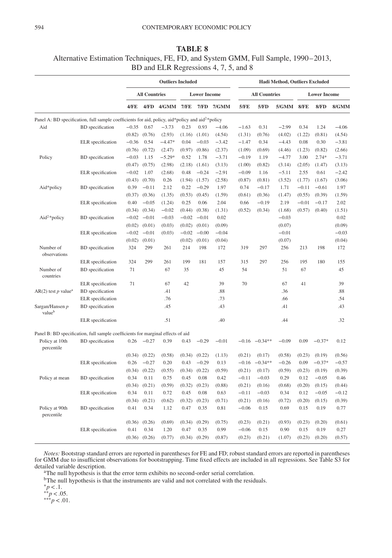# **TABLE 8**

## Alternative Estimation Techniques, FE, FD, and System GMM, Full Sample, 1990–2013, BD and ELR Regressions 4, 7, 5, and 8

|                                   |                                                                                                              |         |                      | <b>Outliers Included</b> |         |                     |            |         |                      | Hadi Method, Outliers Excluded |         |                     |         |
|-----------------------------------|--------------------------------------------------------------------------------------------------------------|---------|----------------------|--------------------------|---------|---------------------|------------|---------|----------------------|--------------------------------|---------|---------------------|---------|
|                                   |                                                                                                              |         | <b>All Countries</b> |                          |         | <b>Lower Income</b> |            |         | <b>All Countries</b> |                                |         | <b>Lower Income</b> |         |
|                                   |                                                                                                              | 4/FE    |                      | 4/FD 4/GMM 7/FE          |         |                     | 7/FD 7/GMM | 5/FE    | 5/FD                 | 5/GMM 8/FE                     |         | 8/FD                | 8/GMM   |
|                                   | Panel A: BD specification, full sample coefficients for aid, policy, aid*policy and aid <sup>2*</sup> policy |         |                      |                          |         |                     |            |         |                      |                                |         |                     |         |
| Aid                               | <b>BD</b> specification                                                                                      | $-0.35$ | 0.67                 | $-3.73$                  | 0.23    | 0.93                | $-4.06$    | $-1.63$ | 0.31                 | $-2.99$                        | 0.34    | 1.24                | $-4.06$ |
|                                   |                                                                                                              | (0.82)  | (0.76)               | (2.93)                   | (1.16)  | (1.01)              | (4.54)     | (1.31)  | (0.76)               | (4.02)                         | (1.22)  | (0.81)              | (4.54)  |
|                                   | ELR specification                                                                                            | $-0.36$ | 0.54                 | $-4.47*$                 | 0.04    | $-0.03$             | $-3.42$    | $-1.47$ | 0.34                 | $-4.43$                        | 0.08    | 0.30                | $-3.81$ |
|                                   |                                                                                                              | (0.76)  | (0.72)               | (2.47)                   | (0.97)  | (0.86)              | (2.37)     | (1.09)  | (0.69)               | (4.46)                         | (1.23)  | (0.82)              | (2.66)  |
| Policy                            | <b>BD</b> specification                                                                                      | $-0.03$ | 1.15                 | $-5.29*$                 | 0.52    | 1.78                | $-3.71$    | $-0.19$ | 1.19                 | $-4.77$                        | 3.00    | $2.74*$             | $-3.71$ |
|                                   |                                                                                                              | (0.47)  | (0.75)               | (2.98)                   | (2.18)  | (1.61)              | (3.13)     | (1.00)  | (0.82)               | (3.14)                         | (2.05)  | (1.47)              | (3.13)  |
|                                   | ELR specification                                                                                            | $-0.02$ | 1.07                 | (2.68)                   | 0.48    | $-0.24$             | $-2.91$    | $-0.09$ | 1.16                 | $-5.11$                        | 2.55    | 0.61                | $-2.42$ |
|                                   |                                                                                                              |         | $(0.43)$ $(0.70)$    | 0.26                     |         | $(1.94)$ $(1.57)$   | (2.58)     | (0.87)  | (0.81)               | (3.52)                         | (1.77)  | (1.67)              | (3.06)  |
| Aid*policy                        | <b>BD</b> specification                                                                                      | 0.39    | $-0.11$              | 2.12                     | 0.22    | $-0.29$             | 1.97       | 0.74    | $-0.17$              | 1.71                           | $-0.11$ | $-0.61$             | 1.97    |
|                                   |                                                                                                              | (0.37)  | (0.36)               | (1.35)                   | (0.53)  | (0.45)              | (1.59)     | (0.61)  | (0.36)               | (1.47)                         | (0.55)  | (0.39)              | (1.59)  |
|                                   | ELR specification                                                                                            | 0.40    | $-0.05$              | (1.24)                   | 0.25    | 0.06                | 2.04       | 0.66    | $-0.19$              | 2.19                           | $-0.01$ | $-0.17$             | 2.02    |
|                                   |                                                                                                              | (0.34)  | (0.34)               | $-0.02$                  | (0.44)  | (0.38)              | (1.31)     | (0.52)  | (0.34)               | (1.68)                         | (0.57)  | (0.40)              | (1.51)  |
| Aid <sup>2</sup> *policy          | <b>BD</b> specification                                                                                      |         | $-0.02 -0.01$        | $-0.03$                  |         | $-0.02 -0.01$       | 0.02       |         |                      | $-0.03$                        |         |                     | 0.02    |
|                                   |                                                                                                              |         | $(0.02)$ $(0.01)$    | (0.03)                   | (0.02)  | (0.01)              | (0.09)     |         |                      | (0.07)                         |         |                     | (0.09)  |
|                                   | ELR specification                                                                                            | $-0.02$ | $-0.01$              | (0.03)                   | $-0.02$ | $-0.00$             | $-0.04$    |         |                      | $-0.01$                        |         |                     | $-0.03$ |
|                                   |                                                                                                              | (0.02)  | (0.01)               |                          | (0.02)  | (0.01)              | (0.04)     |         |                      | (0.07)                         |         |                     | (0.04)  |
| Number of<br>observations         | <b>BD</b> specification                                                                                      | 324     | 299                  | 261                      | 214     | 198                 | 172        | 319     | 297                  | 256                            | 213     | 198                 | 172     |
|                                   | ELR specification                                                                                            | 324     | 299                  | 261                      | 199     | 181                 | 157        | 315     | 297                  | 256                            | 195     | 180                 | 155     |
| Number of<br>countries            | <b>BD</b> specification                                                                                      | 71      |                      | 67                       | 35      |                     | 45         | 54      |                      | 51                             | 67      |                     | 45      |
|                                   | ELR specification                                                                                            | 71      |                      | 67                       | 42      |                     | 39         | 70      |                      | 67                             | 41      |                     | 39      |
| $AR(2)$ test p value <sup>a</sup> | <b>BD</b> specification                                                                                      |         |                      | .41                      |         |                     | .88        |         |                      | .36                            |         |                     | .88     |
|                                   | ELR specification                                                                                            |         |                      | .76                      |         |                     | .73        |         |                      | .66                            |         |                     | .54     |
| Sargan/Hansen p<br>valueb         | <b>BD</b> specification                                                                                      |         |                      | .45                      |         |                     | .43        |         |                      | .41                            |         |                     | .43     |
|                                   | ELR specification                                                                                            |         |                      | .51                      |         |                     | .40        |         |                      | .44                            |         |                     | .32     |
|                                   | Panel B: BD specification, full sample coefficients for marginal effects of aid                              |         |                      |                          |         |                     |            |         |                      |                                |         |                     |         |
| Policy at 10th<br>percentile      | <b>BD</b> specification                                                                                      | 0.26    | $-0.27$              | 0.39                     | 0.43    | $-0.29$             | $-0.01$    | $-0.16$ | $-0.34**$            | $-0.09$                        | 0.09    | $-0.37*$            | 0.12    |
|                                   |                                                                                                              | (0.34)  | (0.22)               | (0.58)                   | (0.34)  | (0.22)              | (1.13)     | (0.21)  | (0.17)               | (0.58)                         | (0.23)  | (0.19)              | (0.56)  |
|                                   | ELR specification                                                                                            | 0.26    | $-0.27$              | 0.20                     | 0.43    | $-0.29$             | 0.13       | $-0.16$ | $-0.34**$            | $-0.26$                        | 0.09    | $-0.37*$            | $-0.57$ |
|                                   |                                                                                                              | (0.34)  | (0.22)               | (0.55)                   | (0.34)  | (0.22)              | (0.59)     | (0.21)  | (0.17)               | (0.59)                         | (0.23)  | (0.19)              | (0.39)  |
| Policy at mean                    | <b>BD</b> specification                                                                                      | 0.34    | 0.11                 | 0.75                     | 0.45    | 0.08                | 0.42       | $-0.11$ | $-0.03$              | 0.29                           | 0.12    | $-0.05$             | 0.46    |
|                                   |                                                                                                              | (0.34)  | (0.21)               | (0.59)                   | (0.32)  | (0.23)              | (0.88)     | (0.21)  | (0.16)               | (0.68)                         | (0.20)  | (0.15)              | (0.44)  |
|                                   | ELR specification                                                                                            | 0.34    | 0.11                 | 0.72                     | 0.45    | 0.08                | 0.63       | $-0.11$ | $-0.03$              | 0.34                           | 0.12    | $-0.05$             | $-0.12$ |
|                                   |                                                                                                              | (0.34)  | (0.21)               | (0.62)                   | (0.32)  | (0.23)              | (0.71)     | (0.21)  | (0.16)               | (0.72)                         | (0.20)  | (0.15)              | (0.39)  |
| Policy at 90th<br>percentile      | <b>BD</b> specification                                                                                      | 0.41    | 0.34                 | 1.12                     | 0.47    | 0.35                | 0.81       | $-0.06$ | 0.15                 | 0.69                           | 0.15    | 0.19                | 0.77    |
|                                   |                                                                                                              | (0.36)  | (0.26)               | (0.69)                   | (0.34)  | (0.29)              | (0.75)     | (0.23)  | (0.21)               | (0.93)                         | (0.23)  | (0.20)              | (0.61)  |
|                                   | ELR specification                                                                                            | 0.41    | 0.34                 | 1.20                     | 0.47    | 0.35                | 0.99       | $-0.06$ | 0.15                 | 0.90                           | 0.15    | 0.19                | 0.27    |
|                                   |                                                                                                              |         | $(0.36)$ $(0.26)$    | (0.77)                   | (0.34)  | (0.29)              | (0.87)     | (0.23)  | (0.21)               | (1.07)                         | (0.23)  | (0.20)              | (0.57)  |

*Notes:* Bootstrap standard errors are reported in parentheses for FE and FD; robust standard errors are reported in parentheses for GMM due to insufficient observations for bootstrapping. Time fixed effects are included in all regressions. See Table S3 for detailed variable description.

<sup>a</sup>The null hypothesis is that the error term exhibits no second-order serial correlation.

<sup>b</sup>The null hypothesis is that the instruments are valid and not correlated with the residuals.

 $*_{p < .1.}^{*}$ <br>  $*_{p < .05.}^{*}$ <br>  $*_{p < .01.}^{*}$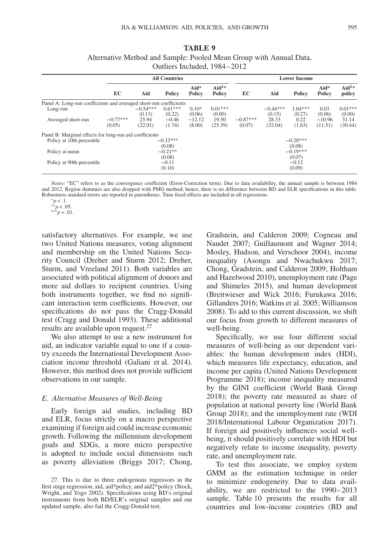| <b>TABLE 9</b>                                                     |
|--------------------------------------------------------------------|
| Alternative Method and Sample: Pooled Mean Group with Annual Data, |
| Outliers Included. 1984–2012                                       |

|                                                                    |                      |                      | <b>All Countries</b> |                    |                                    |                      |                      | <b>Lower Income</b>  |                         |                             |
|--------------------------------------------------------------------|----------------------|----------------------|----------------------|--------------------|------------------------------------|----------------------|----------------------|----------------------|-------------------------|-----------------------------|
|                                                                    | EC                   | Aid                  | <b>Policy</b>        | $Aid*$<br>Policy   | Aid <sup>2*</sup><br><b>Policy</b> | EC                   | Aid                  | <b>Policy</b>        | $Aid*$<br><b>Policy</b> | Aid <sup>2*</sup><br>policy |
| Panel A: Long-run coefficients and averaged short-run coefficients |                      |                      |                      |                    |                                    |                      |                      |                      |                         |                             |
| Long-run                                                           |                      | $-0.54***$<br>(0.13) | $0.61***$<br>(0.22)  | $0.10*$<br>(0.06)  | $0.01***$<br>(0.00)                |                      | $-0.44***$<br>(0.15) | $1.04***$<br>(0.27)  | 0.03<br>(0.06)          | $0.01***$<br>(0.00)         |
| Averaged short-run                                                 | $-0.77***$<br>(0.05) | 25.94<br>(22.01)     | $-0.46$<br>(1.74)    | $-12.12$<br>(8.00) | 19.50<br>(25.59)                   | $-0.87***$<br>(0.07) | 28.33<br>(32.04)     | 0.22<br>(1.63)       | $-10.96$<br>(11.51)     | 31.14<br>(30.44)            |
| Panel B: Marginal effects for long-run aid coefficients            |                      |                      |                      |                    |                                    |                      |                      |                      |                         |                             |
| Policy at 10th percentile                                          |                      |                      | $-0.33***$<br>(0.08) |                    |                                    |                      |                      | $-0.28***$<br>(0.08) |                         |                             |
| Policy at mean                                                     |                      |                      | $-0.21**$<br>(0.08)  |                    |                                    |                      |                      | $-0.19***$<br>(0.07) |                         |                             |
| Policy at 90th percentile                                          |                      |                      | $-0.11$<br>(0.10)    |                    |                                    |                      |                      | $-0.12$<br>(0.09)    |                         |                             |

*Notes:* "EC" refers to as the convergence coefficient (Error-Correction term). Due to data availability, the annual sample is between 1984 and 2012. Region dummies are also dropped with PMG method; hence, there is no difference between BD and ELR specifications in this table. Robustness standard errors are reported in parentheses. Time fixed effects are included in all regressions. <sup>∗</sup>*p<*.1. ∗∗*p<*.05. ∗∗∗*p<*.01.

satisfactory alternatives. For example, we use two United Nations measures, voting alignment and membership on the United Nations Security Council (Dreher and Sturm 2012; Dreher, Sturm, and Vreeland 2011). Both variables are associated with political alignment of donors and more aid dollars to recipient countries. Using both instruments together, we find no significant interaction term coefficients. However, our specifications do not pass the Cragg-Donald test (Cragg and Donald 1993). These additional results are available upon request.<sup>[27](#page-18-0)</sup>

We also attempt to use a new instrument for aid, an indicator variable equal to one if a country exceeds the International Development Association income threshold (Galiani et al. 2014). However, this method does not provide sufficient observations in our sample.

### *E. Alternative Measures of Well-Being*

Early foreign aid studies, including BD and ELR, focus strictly on a macro perspective examining if foreign aid could increase economic growth. Following the millennium development goals and SDGs, a more micro perspective is adopted to include social dimensions such as poverty alleviation (Briggs 2017; Chong, Gradstein, and Calderon 2009; Cogneau and Naudet 2007; Guillaumont and Wagner 2014; Mosley, Hudson, and Verschoor 2004), income inequality (Asongu and Nwachukwu 2017; Chong, Gradstein, and Calderon 2009; Holtham and Hazelwood 2010), unemployment rate (Page and Shimeles 2015), and human development (Breitwieser and Wick 2016; Furukawa 2016; Gillanders 2016; Watkins et al. 2005; Williamson 2008). To add to this current discussion, we shift our focus from growth to different measures of well-being.

Specifically, we use four different social measures of well-being as our dependent variables: the human development index (HDI), which measures life expectancy, education, and income per capita (United Nations Development Programme 2018); income inequality measured by the GINI coefficient (World Bank Group 2018); the poverty rate measured as share of population at national poverty line (World Bank Group 2018); and the unemployment rate (WDI 2018/International Labour Organization 2017). If foreign aid positively influences social wellbeing, it should positively correlate with HDI but negatively relate to income inequality, poverty rate, and unemployment rate.

To test this associate, we employ system GMM as the estimation technique in order to minimize endogeneity. Due to data availability, we are restricted to the 1990–2013 sample. Table 10 presents the results for all countries and low-income countries (BD and

<span id="page-18-0"></span><sup>27.</sup> This is due to three endogenous regressors in the first stage regression, aid, aid\*policy, and aid2\*policy (Stock, Wright, and Yogo 2002). Specifications using BD's original instruments from both BD/ELR's original samples and our updated sample, also fail the Cragg-Donald test.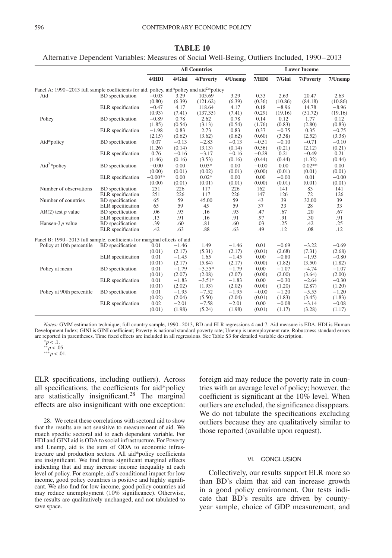|                                                                                                      |                         |           | <b>All Countries</b><br><b>Lower Income</b> |           |         |         |         |           |         |
|------------------------------------------------------------------------------------------------------|-------------------------|-----------|---------------------------------------------|-----------|---------|---------|---------|-----------|---------|
|                                                                                                      |                         | 4/HDI     | 4/Gini                                      | 4/Poverty | 4/Unemp | 7/HDI   | 7/Gini  | 7/Poverty | 7/Unemp |
| Panel A: 1990–2013 full sample coefficients for aid, policy, aid*policy and aid <sup>2*</sup> policy |                         |           |                                             |           |         |         |         |           |         |
| Aid                                                                                                  | <b>BD</b> specification | $-0.03$   | 3.29                                        | 105.69    | 3.29    | 0.33    | 2.63    | 20.47     | 2.63    |
|                                                                                                      |                         | (0.80)    | (6.39)                                      | (121.62)  | (6.39)  | (0.36)  | (10.86) | (84.18)   | (10.86) |
|                                                                                                      | ELR specification       | $-0.47$   | 4.17                                        | 118.64    | 4.17    | 0.18    | $-8.96$ | 14.78     | $-8.96$ |
|                                                                                                      |                         | (0.93)    | (7.41)                                      | (137.35)  | (7.41)  | (0.29)  | (19.16) | (51.72)   | (19.16) |
| Policy                                                                                               | <b>BD</b> specification | $-0.89$   | 0.78                                        | 2.62      | 0.78    | 0.14    | 0.12    | 1.77      | 0.12    |
|                                                                                                      |                         | (1.85)    | (0.54)                                      | (3.13)    | (0.54)  | (1.76)  | (0.83)  | (2.80)    | (0.83)  |
|                                                                                                      | ELR specification       | $-1.98$   | 0.83                                        | 2.73      | 0.83    | 0.37    | $-0.75$ | 0.35      | $-0.75$ |
|                                                                                                      |                         | (2.15)    | (0.62)                                      | (3.62)    | (0.62)  | (0.60)  | (3.38)  | (2.52)    | (3.38)  |
| Aid*policy                                                                                           | <b>BD</b> specification | 0.07      | $-0.13$                                     | $-2.83$   | $-0.13$ | $-0.51$ | $-0.10$ | $-0.71$   | $-0.10$ |
|                                                                                                      |                         | (1.26)    | (0.14)                                      | (3.13)    | (0.14)  | (0.56)  | (0.21)  | (2.12)    | (0.21)  |
|                                                                                                      | ELR specification       | 0.76      | $-0.16$                                     | $-3.17$   | $-0.16$ | $-0.29$ | 0.21    | $-0.49$   | 0.21    |
|                                                                                                      |                         | (1.46)    | (0.16)                                      | (3.53)    | (0.16)  | (0.44)  | (0.44)  | (1.32)    | (0.44)  |
| Aid <sup>2*</sup> policy                                                                             | <b>BD</b> specification | $-0.00$   | 0.00                                        | $0.03*$   | 0.00    | $-0.00$ | 0.00    | $0.02**$  | 0.00    |
|                                                                                                      |                         | (0.00)    | (0.01)                                      | (0.02)    | (0.01)  | (0.00)  | (0.01)  | (0.01)    | (0.01)  |
| Number of observations<br>Number of countries                                                        | ELR specification       | $-0.00**$ | 0.00                                        | $0.02*$   | 0.00    | 0.00    | $-0.00$ | 0.01      | $-0.00$ |
|                                                                                                      |                         | (0.00)    | (0.01)                                      | (0.01)    | (0.01)  | (0.00)  | (0.01)  | (0.01)    | (0.01)  |
|                                                                                                      | <b>BD</b> specification | 251       | 226                                         | 117       | 226     | 162     | 141     | 83        | 141     |
|                                                                                                      | ELR specification       | 251       | 226                                         | 117       | 226     | 147     | 126     | 72        | 126     |
|                                                                                                      | <b>BD</b> specification | 65        | 59                                          | 45.00     | 59      | 43      | 39      | 32.00     | 39      |
|                                                                                                      | ELR specification       | 65        | 59                                          | 45        | 59      | 37      | 33      | 28        | 33      |
| $AR(2)$ test p value                                                                                 | <b>BD</b> specification | .06       | .93                                         | .16       | .93     | .47     | .67     | .20       | .67     |
|                                                                                                      | ELR specification       | .13       | .91                                         | .16       | .91     | .97     | .91     | .30       | .91     |
| Hansen-J $p$ value                                                                                   | <b>BD</b> specification | .39       | .60                                         | .81       | .60     | .03     | .25     | .42       | .25     |
|                                                                                                      | ELR specification       | .42       | .63                                         | .88       | .63     | .49     | .12     | .08       | .12     |
| Panel B: 1990-2013 full sample, coefficients for marginal effects of aid                             |                         |           |                                             |           |         |         |         |           |         |
| Policy at 10th percentile                                                                            | BD specification        | 0.01      | $-1.46$                                     | 1.49      | $-1.46$ | 0.01    | $-0.69$ | $-3.22$   | $-0.69$ |
|                                                                                                      |                         | (0.01)    | (2.17)                                      | (5.31)    | (2.17)  | (0.01)  | (2.68)  | (7.31)    | (2.68)  |
|                                                                                                      | ELR specification       | 0.01      | $-1.45$                                     | 1.65      | $-1.45$ | 0.00    | $-0.80$ | $-1.93$   | $-0.80$ |
|                                                                                                      |                         | (0.01)    | (2.17)                                      | (5.84)    | (2.17)  | (0.00)  | (1.82)  | (3.50)    | (1.82)  |
| Policy at mean                                                                                       | <b>BD</b> specification | 0.01      | $-1.79$                                     | $-3.55*$  | $-1.79$ | 0.00    | $-1.07$ | $-4.74$   | $-1.07$ |
|                                                                                                      |                         | (0.01)    | (2.07)                                      | (2.08)    | (2.07)  | (0.00)  | (2.00)  | (3.64)    | (2.00)  |
|                                                                                                      | ELR specification       | 0.01      | $-1.83$                                     | $-3.51*$  | $-1.83$ | 0.00    | $-0.30$ | $-2.64$   | $-0.30$ |
|                                                                                                      |                         | (0.01)    | (2.02)                                      | (1.93)    | (2.02)  | (0.00)  | (1.20)  | (2.87)    | (1.20)  |
| Policy at 90th percentile                                                                            | <b>BD</b> specification | 0.01      | $-1.95$                                     | $-7.52$   | $-1.95$ | $-0.00$ | $-1.20$ | $-5.55$   | $-1.20$ |
|                                                                                                      |                         | (0.02)    | (2.04)                                      | (5.50)    | (2.04)  | (0.01)  | (1.83)  | (3.45)    | (1.83)  |
|                                                                                                      | ELR specification       | 0.02      | $-2.01$                                     | $-7.58$   | $-2.01$ | 0.00    | $-0.08$ | $-3.14$   | $-0.08$ |
|                                                                                                      |                         | (0.01)    | (1.98)                                      | (5.24)    | (1.98)  | (0.01)  | (1.17)  | (3.28)    | (1.17)  |

**TABLE 10**

Alternative Dependent Variables: Measures of Social Well-Being, Outliers Included, 1990–2013

*Notes:* GMM estimation technique; full country sample, 1990–2013, BD and ELR regressions 4 and 7. Aid measure is EDA. HDI is Human Development Index; GINI is GINI coefficient; Poverty is national standard poverty rate; Unemp is unemployment rate. Robustness standard errors are reported in parentheses. Time fixed effects are included in all regressions. See Table S3 for detailed variable description. <sup>∗</sup>*p<*.1. ∗∗*p<*.05. ∗∗∗*p<*.01.

ELR specifications, including outliers). Across all specifications, the coefficients for aid\*policy are statistically insignificant[.28](#page-19-0) The marginal effects are also insignificant with one exception:

<span id="page-19-0"></span>28. We retest these correlations with sectoral aid to show that the results are not sensitive to measurement of aid. We match specific sectoral aid to each dependent variable. For HDI and GINI aid is ODA to social infrastructure. For Poverty and Unemp, aid is the sum of ODA to economic infrastructure and production sectors. All aid\*policy coefficients are insignificant. We find three significant marginal effects indicating that aid may increase income inequality at each level of policy. For example, aid's conditional impact for low income, good policy countries is positive and highly significant. We also find for low income, good policy countries aid may reduce unemployment (10% significance). Otherwise, the results are qualitatively unchanged, and not tabulated to save space.

foreign aid may reduce the poverty rate in countries with an average level of policy; however, the coefficient is significant at the 10% level. When outliers are excluded, the significance disappears. We do not tabulate the specifications excluding outliers because they are qualitatively similar to those reported (available upon request).

#### VI. CONCLUSION

Collectively, our results support ELR more so than BD's claim that aid can increase growth in a good policy environment. Our tests indicate that BD's results are driven by countyyear sample, choice of GDP measurement, and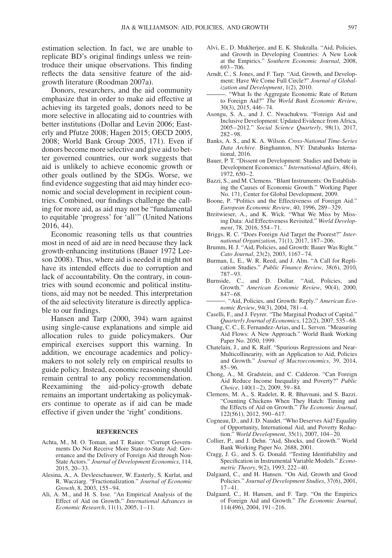estimation selection. In fact, we are unable to replicate BD's original findings unless we reintroduce their unique observations. This finding reflects the data sensitive feature of the aidgrowth literature (Roodman 2007a).

Donors, researchers, and the aid community emphasize that in order to make aid effective at achieving its targeted goals, donors need to be more selective in allocating aid to countries with better institutions (Dollar and Levin 2006; Easterly and Pfutze 2008; Hagen 2015; OECD 2005, 2008; World Bank Group 2005, 171). Even if donors become more selective and give aid to better governed countries, our work suggests that aid is unlikely to achieve economic growth or other goals outlined by the SDGs. Worse, we find evidence suggesting that aid may hinder economic and social development in recipient countries. Combined, our findings challenge the calling for more aid, as aid may not be "fundamental to equitable 'progress' for 'all'" (United Nations 2016, 44).

Economic reasoning tells us that countries most in need of aid are in need because they lack growth-enhancing institutions (Bauer 1972 Leeson 2008). Thus, where aid is needed it might not have its intended effects due to corruption and lack of accountability. On the contrary, in countries with sound economic and political institutions, aid may not be needed. This interpretation of the aid selectivity literature is directly applicable to our findings.

Hansen and Tarp (2000, 394) warn against using single-cause explanations and simple aid allocation rules to guide policymakers. Our empirical exercises support this warning. In addition, we encourage academics and policymakers to not solely rely on empirical results to guide policy. Instead, economic reasoning should remain central to any policy recommendation. Reexamining the aid-policy-growth debate remains an important undertaking as policymakers continue to operate as if aid can be made effective if given under the 'right' conditions.

#### **REFERENCES**

- Achta, M., M. O. Toman, and T. Rainer. "Corrupt Governments Do Not Receive More State-to-State Aid: Governance and the Delivery of Foreign Aid through Non-State Actors." *Journal of Development Economics*, 114, 2015, 20–33.
- Alesina, A., A. Devleeschauwer, W. Easterly, S. Kurlat, and R. Wacziarg. "Fractionalization." *Journal of Economic Growth*, 8, 2003, 155–94.
- Ali, A. M., and H. S. Isse. "An Empirical Analysis of the Effect of Aid on Growth." *International Advances in Economic Research*, 11(1), 2005, 1–11.
- Alvi, E., D. Mukherjee, and E. K. Shukralla. "Aid, Policies, and Growth in Developing Countries: A New Look at the Empirics." *Southern Economic Journal*, 2008, 693–706.
- Arndt, C., S. Jones, and F. Tarp. "Aid, Growth, and Development: Have We Come Full Circle?" *Journal of Globalization and Development*, 1(2), 2010.
- . "What Is the Aggregate Economic Rate of Return to Foreign Aid?" *The World Bank Economic Review*, 30(3), 2015, 446–74.
- Asongu, S. A., and J. C. Nwachukwu. "Foreign Aid and Inclusive Development: Updated Evidence from Africa, 2005–2012." *Social Science Quarterly*, 98(1), 2017, 282–98.
- Banks, A. S., and K. A. Wilson. *Cross-National Time-Series Data Archive*. Binghamton, NY: Databanks International, 2016.
- Bauer, P. T. "Dissent on Development: Studies and Debate in Development Economics." *International Affairs*, 48(4), 1972, 650–2.
- Bazzi, S., and M. Clemens. "Blunt Instruments: On Establishing the Causes of Economic Growth." Working Paper No. 171, Center for Global Development, 2009.
- Boone, P. "Politics and the Effectiveness of Foreign Aid." *European Economic Review*, 40, 1996, 289–329.
- Breitwieser, A., and K. Wick. "What We Miss by Missing Data: Aid Effectiveness Revisited." *World Development*, 78, 2016, 554–71.
- Briggs, R. C. "Does Foreign Aid Target the Poorest?" *International Organization*, 71(1), 2017, 187–206.
- Brumm, H. J. "Aid, Policies, and Growth: Bauer Was Right." *Cato Journal*, 23(2), 2003, 1167–74.
- Burman, L. E., W. R. Reed, and J. Alm. "A Call for Replication Studies." *Public Finance Review*, 38(6), 2010, 787–93.
- Burnside, C., and D. Dollar. "Aid, Policies, and Growth." *American Economic Review*, 90(4), 2000, 847–68.
- . "Aid, Policies, and Growth: Reply." *American Economic Review*, 94(3), 2004, 781–4.
- Caselli, F., and J. Feyrer. "The Marginal Product of Capital." *Quarterly Journal of Economics*, 122(2), 2007, 535–68.
- Chang, C. C., E. Fernandez-Arias, and L. Serven. "Measuring Aid Flows: A New Approach." World Bank Working Paper No. 2050, 1999.
- Chatelain, J., and K. Ralf. "Spurious Regressions and Near-Multicollinearity, with an Application to Aid, Policies and Growth." *Journal of Macroeconomics*, 39, 2014, 85–96.
- Chong, A., M. Gradstein, and C. Calderon. "Can Foreign Aid Reduce Income Inequality and Poverty?" *Public Choice*, 140(1–2), 2009, 59–84.
- Clemens, M. A., S. Radelet, R. R. Bhavnani, and S. Bazzi. "Counting Chickens When They Hatch: Timing and the Effects of Aid on Growth." *The Economic Journal*, 122(561), 2012, 590–617.
- Cogneau, D., and J. D. Naudet. "Who Deserves Aid? Equality of Opportunity, International Aid, and Poverty Reduction." *World Development*, 35(1), 2007, 104–20.
- Collier, P., and J. Dehn. "Aid, Shocks, and Growth." World Bank Working Paper No. 2688, 2001.
- Cragg, J. G., and S. G. Donald. "Testing Identifiability and Specification in Instrumental Variable Models." *Econometric Theory*, 9(2), 1993, 222–40.
- Dalgaard, C., and H. Hansen. "On Aid, Growth and Good Policies." *Journal of Development Studies*, 37(6), 2001, 17–41.
- Dalgaard, C., H. Hansen, and F. Tarp. "On the Empirics of Foreign Aid and Growth." *The Economic Journal*, 114(496), 2004, 191–216.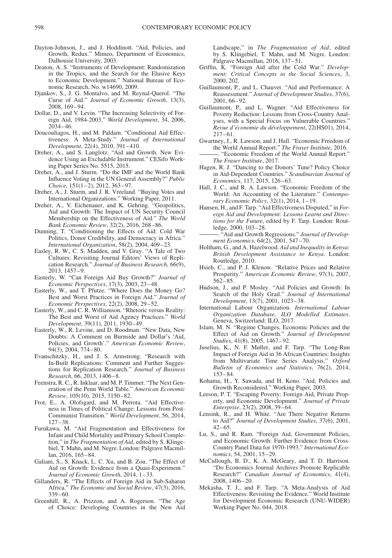- Dayton-Johnson, J., and J. Hoddinott. "Aid, Policies, and Growth, Redux." Mimeo, Department of Economics, Dalhousie University, 2003.
- Deaton, A. S. "Instruments of Development: Randomization in the Tropics, and the Search for the Elusive Keys to Economic Development." National Bureau of Economic Research, No. w14690, 2009.
- Djankov, S., J. G. Montalvo, and M. Reynal-Querol. "The Curse of Aid." *Journal of Economic Growth*, 13(3), 2008, 169–94.
- Dollar, D., and V. Levin. "The Increasing Selectivity of Foreign Aid, 1984-2003." *World Development*, 34, 2006, 2034–46.
- Doucouliagos, H., and M. Paldam. "Conditional Aid Effectiveness: A Meta-Study." *Journal of International Development*, 22(4), 2010, 391–410.
- Dreher, A., and S. Langlotz. "Aid and Growth. New Evidence Using an Excludable Instrument." CESifo Working Paper Series No. 5515, 2015.
- Dreher, A., and J. Sturm. "Do the IMF and the World Bank Influence Voting in the UN General Assembly?" *Public Choice*, 151(1–2), 2012, 363–97.
- Dreher, A., J. Sturm, and J. R. Vreeland. "Buying Votes and International Organizations." Working Paper, 2011.
- Dreher, A., V. Eichenauer, and K. Gehring. "Geopolitics, Aid and Growth: The Impact of UN Security Council Membership on the Effectiveness of Aid." *The World Bank Economic Review*, 32(2), 2016, 268–86.
- Dunning, T. "Conditioning the Effects of Aid: Cold War Politics, Donor Credibility, and Democracy in Africa." *International Organization*, 58(2), 2004, 409–23.
- Easley, R. W., C. S. Madden, and V. Gray. "A Tale of Two Cultures: Revisiting Journal Editors' Views of Replication Research." *Journal of Business Research*, 66(9), 2013, 1457–9.
- Easterly, W. "Can Foreign Aid Buy Growth?" *Journal of Economic Perspectives*, 17(3), 2003, 23–48.
- Easterly, W., and T. Pfutze. "Where Does the Money Go? Best and Worst Practices in Foreign Aid." *Journal of Economic Perspectives*, 22(2), 2008, 29–52.
- Easterly, W., and C. R. Williamson. "Rhetoric versus Reality: The Best and Worst of Aid Agency Practices." *World Development*, 39(11), 2011, 1930–49.
- Easterly, W., R. Levine, and D. Roodman. "New Data, New Doubts: A Comment on Burnside and Dollar's 'Aid, Policies, and Growth'." *American Economic Review*, 94(3), 2004, 774–80.
- Evanschitzky, H., and J. S. Armstrong. "Research with In-Built Replications: Comment and Further Suggestions for Replication Research." *Journal of Business Research*, 66, 2013, 1406–8.
- Feenstra, R. C., R. Inklaar, and M. P. Timmer. "The Next Generation of the Penn World Table." *American Economic Review*, 105(10), 2015, 3150–82.
- Frot, E., A. Olofsgard, and M. Perrota. "Aid Effectiveness in Times of Political Change: Lessons from Post-Communist Transition." *World Development*, 56, 2014, 127–38.
- Furukawa, M. "Aid Fragmentation and Effectiveness for Infant and Child Mortality and Primary School Completion," in *The Fragmentation of Aid*, edited by S. Klingebiel, T. Mahn, and M. Negre. London: Palgrave Macmillan, 2016, 165–84.
- Galiani, S., S. Knack, L. C. Xu, and B. Zou. "The Effect of Aid on Growth: Evidence from a Quasi-Experiment.' *Journal of Economic Growth*, 2014, 1–33.
- Gillanders, R. "The Effects of Foreign Aid in Sub-Saharan Africa." *The Economic and Social Review*, 47(3), 2016, 339–60.
- Greenhill, R., A. Prizzon, and A. Rogerson. "The Age of Choice: Developing Countries in the New Aid

Landscape," in *The Fragmentation of Aid*, edited by S. Klingebiel, T. Mahn, and M. Negre. London: Palgrave Macmillan, 2016, 137–51.

- Griffin, K. "Foreign Aid after the Cold War." *Development: Critical Concepts in the Social Sciences*, 3, 2000, 202.
- Guillaumont, P., and L. Chauvet. "Aid and Performance: A Reassessment." *Journal of Development Studies*, 37(6), 2001, 66–92.
- Guillaumont, P., and L. Wagner. "Aid Effectiveness for Poverty Reduction: Lessons from Cross-Country Analyses, with a Special Focus on Vulnerable Countries." *Revue d'économie du développement*, 22(HS01), 2014, 217–61.
- Gwartney, J., R. Lawson, and J. Hall. "Economic Freedom of the World Annual Report." *The Fraser Institute*, 2016. . "Economic Freedom of the World Annual Report." *The Fraser Institute*, 2017.
- Hagen, R. J. "Dancing to the Donors' Tune? Policy Choice in Aid-Dependent Countries." *Scandinavian Journal of Economics*, 117, 2015, 126–63.
- Hall, J. C., and R. A. Lawson. "Economic Freedom of the World: An Accounting of the Literature." *Contemporary Economic Policy*, 32(1), 2014, 1–19.
- Hansen, H., and F. Tarp. "Aid Effectiveness Disputed," in *Foreign Aid and Development: Lessons Learnt and Directions for the Future*, edited by F. Tarp. London: Routledge, 2000, 103–28.
- . "Aid and Growth Regressions." *Journal of Development Economics*, 64(2), 2001, 547–70.
- Holtham, G., and A. Hazelwood. *Aid and Inequality in Kenya: British Development Assistance to Kenya*. London: Routledge, 2010.
- Hsieh, C., and P. J. Klenow. "Relative Prices and Relative Prosperity." *American Economic Review*, 97(3), 2007, 562–85.
- Hudson, J., and P. Mosley. "Aid Policies and Growth: In Search of the Holy Grail." *Journal of International Development*, 13(7), 2001, 1023–38.
- International Labour Organization. *International Labour Organization Database, ILO Modelled Estimates*. Geneva, Switzerland: ILO, 2017.
- Islam, M. N. "Regime Changes, Economic Policies and the Effect of Aid on Growth." *Journal of Development Studies*, 41(8), 2005, 1467–92.
- Juselius, K., N. F. Møller, and F. Tarp. "The Long-Run Impact of Foreign Aid in 36 African Countries: Insights from Multivariate Time Series Analysis." *Oxford Bulletin of Economics and Statistics*, 76(2), 2014, 153–84.
- Kohama, H., Y. Sawada, and H. Kono. "Aid, Policies and Growth Reconsidered." Working Paper, 2003.
- Leeson, P. T. "Escaping Poverty: Foreign Aid, Private Property, and Economic Development." *Journal of Private Enterprise*, 23(2), 2008, 39–64.
- Lensink, R., and H. White. "Are There Negative Returns to Aid?" *Journal of Development Studies*, 37(6), 2001,  $42 - 65.$
- Lu, S., and R. Ram. "Foreign Aid, Government Policies, and Economic Growth: Further Evidence from Cross-Country Panel Data for 1970-1993." *International Economics*, 54, 2001, 15–29.
- McCullough, B. D., K. A. McGeary, and T. D. Harrison. "Do Economics Journal Archives Promote Replicable Research?" *Canadian Journal of Economics*, 41(4), 2008, 1406–20.
- Mekasha, T. J., and F. Tarp. "A Meta-Analysis of Aid Effectiveness: Revisiting the Evidence." World Institute for Development Economic Research (UNU-WIDER) Working Paper No. 044, 2018.